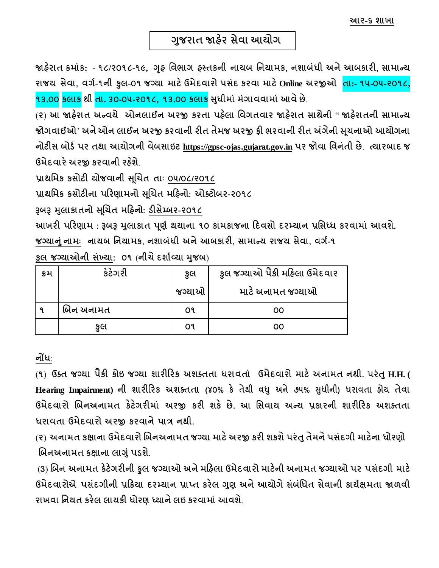**આર-૬ શાખા** 

 **ગજુ રાત જાહેર સેવા આયોગ**

**જાહરે ાત ક્રમાાંક: - ૧૮/૨૦૧૮-૧૯, ગૃહ વવભાગ હસ્તકની નાયબ વનયામક, નશાબાંધી અનેઆબકારી, સામાન્ય**  રાજય સેવા, વર્ગ-૧ની કુલ-૦૧ જગ્યા માટે ઉમેદવારો પસંદ કરવા માટે Online અરજીઓ <mark>તા:- ૧૫-૦૫-૨૦૧૮,</mark> **૧૩.૦૦ કલાક થી તા. ૩૦-૦૫-૨૦૧૮, ૧૩.૦૦ કલાક સધુ ીમાાં માંગાવવામાાંઆવેછે**.

(**૨**) **આ જાહરે ાત અન્વયે ઓનલાઈન અરજી કરતા પહલે ા વવગતવાર જાહરે ાત સાથેની** " **જાહરે ાતની સામાન્ય જોગવાઈઓ**' **અનેઓન લાઈન અરજી કરવાની રીત તેમજ અરજી ફી ભરવાની રીત અંગેની સ ૂચનાઓ આયોગના નોટીસ બોર્ગપર તથા આયોગની વેબસાઇટ https://gpsc-ojas.gujarat.gov.in પર જોવા વવનાંતી છે**. **ત્યારબાદ જ ઉમેદવારેઅરજી કરવાની રહશે ે**.

પ્રાથમિક કસોટી ચોજવાની સૂચિત તાઃ <u>૦૫/૦૮/૨૦૧૮</u>

**પ્રાથવમક કસોટીના પરરણામનો સ ૂચચત મરહનો: ઓક્ટોબર-૨૦૧૮**

**રૂબરૂ મલુ ાકાતનો સચૂચત મરહનો: ર્ીસેમ્બર-૨૦૧૮**

**આખરી પરરણામ : રૂબરૂ મલુ ાકાત પણૂ ગથયાના ૧૦ કામકાજના રદવસો દરમ્યાન પ્રવસધ્ધ કરવામાાં આવશે.**

**જગ્યાનાંુનામાઃ નાયબ વનયામક, નશાબાંધી અનેઆબકારી, સામાન્ય રાજય સેવા, વગગ-૧**

**કુલ જગ્યાઓની સાંખ્યા: ૦૧** (**નીચેદશાગવ્યા મજુ બ**)

| ક્રમ | કેટેગરી   | કુલ    | કુલ જગ્યાઓ પૈકી મહિલા ઉમેદવાર |
|------|-----------|--------|-------------------------------|
|      |           | જગ્યાઓ | માટે અનામત જગ્યાઓ             |
|      | બિન અનામત | o٩     | 00                            |
|      | કલ        | o٩     | 00                            |

**નોંધ**:

(**૧**) **ઉક્ત જગ્યા પ ૈ કી કોઇ જગ્યા શારીરરક અશક્તતા ધરાવતાાં ઉમેદવારો માટેઅનામત નથી. પરાંતુH.H. ( Hearing Impairment) ની શારીરરક અશક્તતા (૪૦% કે તેથી વધુ અને ૭૫% સુધીની) ધરાવતા હોય તેવા ઉમેદવારો ચબનઅનામત કેટેગરીમાાં અરજી કરી શકે છે. આ વસવાય અન્ય પ્રકારની શારીરરક અશક્તતા ધરાવતા ઉમેદવારો અરજી કરવાનેપાત્ર નથી.**

(**૨**) **અનામત કક્ષાના ઉમેદવારો ચબનઅનામત જગ્યા માટેઅરજી કરી શકશેપરાંતુતેમનેપસાંદગી માટેના ધોરણો ચબનઅનામત કક્ષાના લાગાંુપર્શે**.

(**3**) **ચબન અનામત કેટેગરીની કુલ જગ્યાઓ અનેમરહલા ઉમેદવારો માટેની અનામત જગ્યાઓ પર પસાંદગી માટે ઉમેદવારોએ પસાંદગીની પ્રરક્રયા દરમ્યાન પ્રાપ્ત કરેલ ગણુ અનેઆયોગેસાંબાંવધત સેવાની કાયગક્ષમતા જાળવી રાખવા વનયત કરેલ લાયકી ધોરણ ધ્યાનેલઇ કરવામાાંઆવશ**.**ે**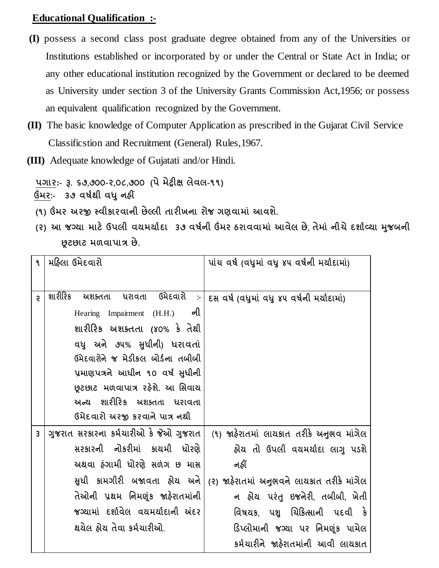### **Educational Qualification :-**

- **(I)** possess a second class post graduate degree obtained from any of the Universities or Institutions established or incorporated by or under the Central or State Act in India; or any other educational institution recognized by the Government or declared to be deemed as University under section 3 of the University Grants Commission Act,1956; or possess an equivalent qualification recognized by the Government.
- **(II)** The basic knowledge of Computer Application as prescribed in the Gujarat Civil Service Classificstion and Recruitment (General) Rules,1967.
- **(III)** Adequate knowledge of Gujatati and/or Hindi.

**પગાર:- રૂ. ૬૭**,**૭૦૦-૨**,**૦૮**,**૭૦૦ (પેમેટ્રીક્ષ લેવલ-૧૧)**

 **ઉંમર:- ૩૭ વર્ગથી વધુનહીં**

- **(૧) ઉંમર અરજી સ્વીકારવાની છેલ્લી તારીખના રોજ ગણવામાાં આવશે.**
- **(૨) આ જગ્યા માટેઉપલી વયમયાગદા ૩૭ વર્ગની ઉંમર ઠરાવવામાાં આવેલ છે**, **તેમાાં નીચેદશાગવ્યા મજુ બની છૂટછાટ મળવાપાત્ર છે.**

| ٩ | મહિલા ઉમેદવારો                                                                                                                                                                                                                                                                                                              | પાંચ વર્ષ (વધુમાં વધુ ૪૫ વર્ષની મર્યાદામાં)                                                                                                                                                                                                                                         |
|---|-----------------------------------------------------------------------------------------------------------------------------------------------------------------------------------------------------------------------------------------------------------------------------------------------------------------------------|-------------------------------------------------------------------------------------------------------------------------------------------------------------------------------------------------------------------------------------------------------------------------------------|
| Ş | શારીરિક<br>અશક્તતા ધરાવતા ઉમેદવારો<br>$\sim$<br>ની<br>Hearing Impairment (H.H.)<br>શારીરિક અશક્તતા (૪૦% કે તેથી<br>વધુ અને ૭૫% સુધીની) ધરાવતાં<br>ઉમેદવારોને જ મેડીકલ બોર્ડના તબીબી<br>પ્રમાણપત્રને આધીન ૧૦ વર્ષ સુધીની<br>છૂટછાટ મળવાપાત્ર રહેશે. આ સિવાય<br>અન્ય શારીરિક અશક્તતા ધરાવતા<br>ઉમેદવારો અરજી કરવાને પાત્ર નથી | દસ વર્ષ (વધુમાં વધુ ૪૫ વર્ષની મર્યાદામાં)                                                                                                                                                                                                                                           |
| 3 | ગુજરાત સરકારના કર્મચારીઓ કે જેઓ ગુજરાત<br>સરકારની નોકરીમાં કાચમી ધોરણે<br>અથવા ફંગામી ધોરણે સળંગ છ માસ<br>સુધી કામગીરી બજાવતા હ્રોય અને<br>તેઓની પ્રથમ નિમણૂંક જાહેરાતમાંની<br>જગ્યામાં દર્શાવેલ વયમર્યાદાની અંદર<br>થયેલ હોય તેવા કર્મચારીઓ.                                                                               | (૧) જાહેરાતમાં લાયકાત તરીકે અનુભવ માંગેલ<br>હ્રોય તો ઉપલી વયમર્યાદા લાગુ પડશે<br>નહીં<br>(૨) જાહેરાતમાં અનુભવને લાયકાત તરીકે માંગેલ<br>ન હ્રોય પરંતુ ઇજનેરી, તબીબી, ખેતી<br>વિષયક, પશુ ચિકિત્સાની પદવી કે<br>ડિપ્લોમાની જગ્યા પર નિમણંક પામેલ<br>કર્મચારીને જાહેરાતમાંની આવી લાયકાત |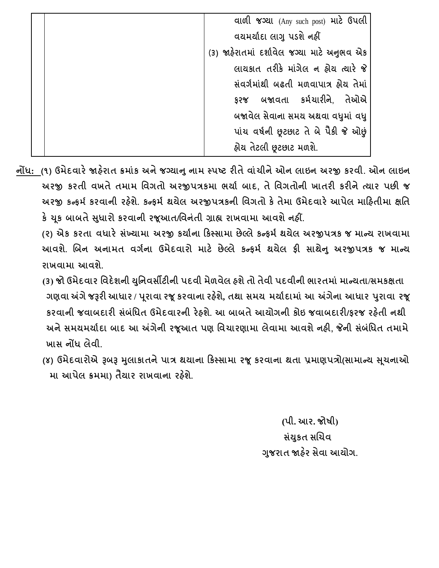| વાળી જગ્યા (Any such post) માટે ઉપલી        |
|---------------------------------------------|
| વયમર્યાદા લાગુ પડશે નહીં                    |
| (3) જાહેરાતમાં દર્શાવેલ જગ્યા માટે અનુભવ એક |
| લાયકાત તરીકે માંગેલ ન હોય ત્યારે જે         |
| સંવર્ગમાંથી બઢતી મળવાપાત્ર હ્રેય તેમાં      |
| ફરજ બજાવતા કર્મચારીને, તેઓએ                 |
| બજાવેલ સેવાના સમય અથવા વધુમાં વધુ           |
| પાંચ વર્ષની છૂટછાટ તે બે પૈકી જે ઓછું       |
| હ્યેય તેટલી છૂટછાટ મળશે.                    |

- **નોંધ: (૧) ઉમેદવારેજાહરે ાત ક્રમાાંક અનેજગ્યાનુનામ સ્પષ્ટ રીતેવાાંચીનેઓન લાઇન અરજી કરવી. ઓન લાઇન અરજી કરતી વખતેતમામ વવગતો અરજીપત્રકમા ભયાગ બાદ, તેવવગતોની ખાતરી કરીનેત્યાર પછી જ અરજી કન્ફમગ કરવાની રહશે ે. કન્ફમગ થયેલ અરજીપત્રકની વવગતો કેતેમા ઉમેદવારેઆપેલ મારહતીમા ક્ષવત કેચકૂ બાબતેસધુ ારો કરવાની રજૂઆત/વવનાંતી ગ્રાહ્ય રાખવામા આવશેનહીં.**
	- **(૨) એક કરતા વધારે સાંખ્યામા અરજી કયાગના રકસ્સામા છેલ્લેકન્ફમગથયેલ અરજીપત્રક જ માન્ય રાખવામા આવશે. ચબન અનામત વગગના ઉમેદવારો માટે છેલ્લે કન્ફમગ થયેલ ફી સાથેનુઅરજીપત્રક જ માન્ય રાખવામા આવશે.**
	- **(૩) જો ઉમેદવાર વવદેશની યવુનવસીટીની પદવી મેળવેલ હશેતો તેવી પદવીની ભારતમાાં માન્યતા/સમકક્ષતા ગણવા અંગેજરૂરી આધાર / પ ૂરાવા રજૂકરવાના રહશે ે, તથા સમય મયાગદામાાં આ અંગેના આધાર પરુાવા રજૂ કરવાની જવાબદારી સાંબાંવધત ઉમેદવારની રેહશે. આ બાબતેઆયોગની કોઇ જવાબદારી/ફરજ રહતે ી નથી અનેસમયમયાગદા બાદ આ અંગેની રજૂઆત પણ વવચારણામા લેવામા આવશેનહી, જેની સાંબાંવધત તમામે ખાસ નોંધ લેવી.**
	- **(૪) ઉમેદવારોએ રૂબરૂ મલુ ાકાતનેપાત્ર થયાના રકસ્સામા રજૂકરવાના થતા પ્રમાણપત્રો(સામાન્ય સચૂ નાઓ મા આપેલ ક્રમમા) ત ૈ યાર રાખવાના રહશે ે.**

 **(પી. આર. જોર્ી) સાંયકુત સચચવ ગજુ રાત જાહરે સેવા આયોગ.**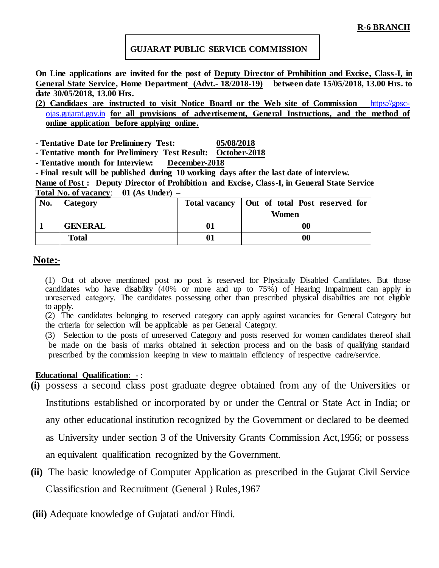#### **GUJARAT PUBLIC SERVICE COMMISSION**

**On Line applications are invited for the post of Deputy Director of Prohibition and Excise, Class-I, in General State Service, Home Department (Advt.- 18/2018-19) between date 15/05/2018, 13.00 Hrs. to date 30/05/2018, 13.00 Hrs.** 

**(2) Candidaes are instructed to visit Notice Board or the Web site of Commission** [https://gpsc](https://gpsc-ojas.gujarat.gov.in/)[ojas.gujarat.gov.in](https://gpsc-ojas.gujarat.gov.in/) **for all provisions of advertisement, General Instructions, and the method of online application before applying online.** 

**- Tentative Date for Preliminery Test: 05/08/2018**

**- Tentative month for Preliminery Test Result: October-2018**

**- Tentative month for Interview: December-2018**

**- Final result will be published during 10 working days after the last date of interview.**

**Name of Post : Deputy Director of Prohibition and Excise, Class-I, in General State Service Total No. of vacancy**: **01 (As Under) –**

| No. | Category       | Total vacancy   Out of total Post reserved for |
|-----|----------------|------------------------------------------------|
|     |                | Women                                          |
|     | <b>GENERAL</b> | 00                                             |
|     | Total          | 00                                             |

#### **Note:-**

(1) Out of above mentioned post no post is reserved for Physically Disabled Candidates. But those candidates who have disability (40% or more and up to 75%) of Hearing Impairment can apply in unreserved category. The candidates possessing other than prescribed physical disabilities are not eligible to apply.

(2) The candidates belonging to reserved category can apply against vacancies for General Category but the criteria for selection will be applicable as per General Category.

(3) Selection to the posts of unreserved Category and posts reserved for women candidates thereof shall be made on the basis of marks obtained in selection process and on the basis of qualifying standard prescribed by the commission keeping in view to maintain efficiency of respective cadre/service.

#### **Educational Qualification: -** :

- **(i)** possess a second class post graduate degree obtained from any of the Universities or Institutions established or incorporated by or under the Central or State Act in India; or any other educational institution recognized by the Government or declared to be deemed as University under section 3 of the University Grants Commission Act,1956; or possess an equivalent qualification recognized by the Government.
- **(ii)** The basic knowledge of Computer Application as prescribed in the Gujarat Civil Service Classificstion and Recruitment (General ) Rules,1967
- **(iii)** Adequate knowledge of Gujatati and/or Hindi.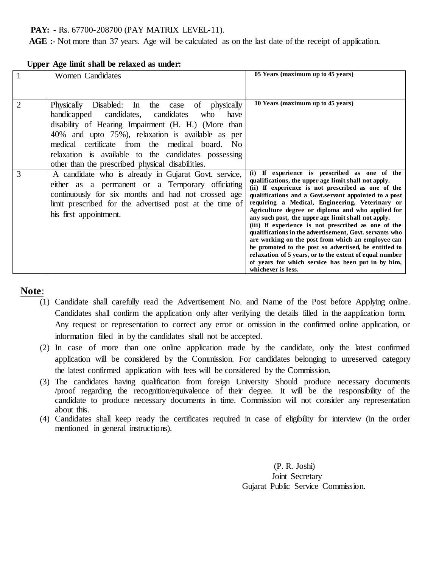#### **PAY: -** Rs. 67700-208700 (PAY MATRIX LEVEL-11).

 **AGE :-** Not more than 37 years. Age will be calculated as on the last date of the receipt of application.

|                | Women Candidates                                                                                                                                                                                                                                                                                                                                                                       | 05 Years (maximum up to 45 years)                                                                                                                                                                                                                                                                                                                                                                                                                                                                                                                                                                                                                                                                                                                           |
|----------------|----------------------------------------------------------------------------------------------------------------------------------------------------------------------------------------------------------------------------------------------------------------------------------------------------------------------------------------------------------------------------------------|-------------------------------------------------------------------------------------------------------------------------------------------------------------------------------------------------------------------------------------------------------------------------------------------------------------------------------------------------------------------------------------------------------------------------------------------------------------------------------------------------------------------------------------------------------------------------------------------------------------------------------------------------------------------------------------------------------------------------------------------------------------|
| $\overline{2}$ | Physically Disabled: In the<br>of physically<br>case<br>candidates<br>handicapped candidates,<br>who<br>have<br>disability of Hearing Impairment (H. H.) (More than<br>40% and upto 75%), relaxation is available as per<br>medical certificate from the medical board. No<br>relaxation is available to the candidates possessing<br>other than the prescribed physical disabilities. | 10 Years (maximum up to 45 years)                                                                                                                                                                                                                                                                                                                                                                                                                                                                                                                                                                                                                                                                                                                           |
| 3              | A candidate who is already in Gujarat Govt. service,<br>either as a permanent or a Temporary officiating<br>continuously for six months and had not crossed age<br>limit prescribed for the advertised post at the time of<br>his first appointment.                                                                                                                                   | (i) If experience is prescribed as one of the<br>qualifications, the upper age limit shall not apply.<br>(ii) If experience is not prescribed as one of the<br>qualifications and a Govt.servant appointed to a post<br>requiring a Medical, Engineering, Veterinary or<br>Agriculture degree or diploma and who applied for<br>any such post, the upper age limit shall not apply.<br>(iii) If experience is not prescribed as one of the<br>qualifications in the advertisement, Govt. servants who<br>are working on the post from which an employee can<br>be promoted to the post so advertised, be entitled to<br>relaxation of 5 years, or to the extent of equal number<br>of years for which service has been put in by him,<br>whichever is less. |

#### **Upper Age limit shall be relaxed as under:**

#### **Note**:

- (1) Candidate shall carefully read the Advertisement No. and Name of the Post before Applying online. Candidates shall confirm the application only after verifying the details filled in the aapplication form. Any request or representation to correct any error or omission in the confirmed online application, or information filled in by the candidates shall not be accepted.
- (2) In case of more than one online application made by the candidate, only the latest confirmed application will be considered by the Commission. For candidates belonging to unreserved category the latest confirmed application with fees will be considered by the Commission.
- (3) The candidates having qualification from foreign University Should produce necessary documents /proof regarding the recognition/equivalence of their degree. It will be the responsibility of the candidate to produce necessary documents in time. Commission will not consider any representation about this.
- (4) Candidates shall keep ready the certificates required in case of eligibility for interview (in the order mentioned in general instructions).

 (P. R. Joshi) Joint Secretary Gujarat Public Service Commission.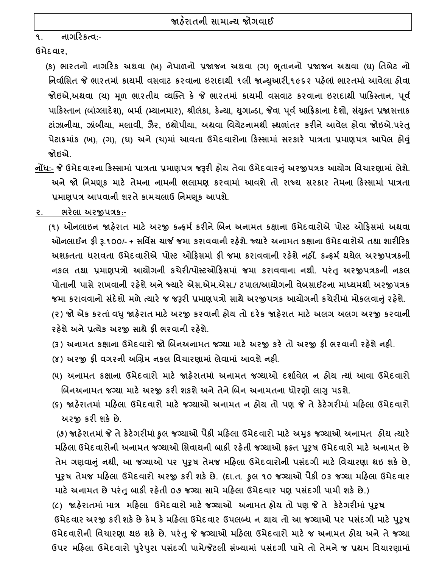**૧. નાગરરકત્વ:-**

**ઉમેદવાર,**

**(ક) ભારતનો નાગરરક અથવા (ખ) નેપાળનો પ્રજાજન અથવા (ગ) ભ ૂતાનનો પ્રજાજન અથવા (ઘ) વતબેટ નો વનવાગવસત જે ભારતમાાં કાયમી વસવાટ કરવાના ઇરાદાથી ૧લી જાન્યઆુ રી,૧૯૬૨ પહેલાાં ભારતમાાં આવેલા હોવા જોઇએ,અથવા (ચ) મ ૂળ ભારતીય વ્યક્ક્ત કે જે ભારતમાાં કાયમી વસવાટ કરવાના ઇરાદાથી પારકસ્તાન, પ ૂવગ** પાકિસ્તાન (બાંગ્લાદેશ), બર્મા (મ્યાનમાર), શ્રીલંકા, કેન્યા, યુગાન્ડા, જેવા પૂર્વ આફ્રિકાના દેશો, સંયુક્ત પ્રજાસત્તાક **ટાાંઝાનીયા, ઝાાંબીયા, મલાવી, ઝૈર, ઇથોપીયા, અથવા વવયેટનામથી સ્થળાાંતર કરીનેઆવેલ હોવા જોઇએ.પરાંતુ પેટાક્રમાાંક (ખ), (ગ), (ઘ) અને (ચ)માાં આવતા ઉમેદવારોના રકસ્સામાાં સરકારે પાત્રતા પ્રમાણપત્ર આપેલ હોવુાં જોઇએ.**

- **નોંધ:- જે ઉમેદવારના રકસ્સામાાં પાત્રતા પ્રમાણપત્ર જરૂરી હોય તેવા ઉમેદવારનુાં અરજીપત્રક આયોગ વવચારણામાાં લેશે. અને જો વનમણ ૂક માટે તેમના નામની ભલામણ કરવામાાં આવશે તો રાજ્ય સરકાર તેમના રકસ્સામાાં પાત્રતા પ્રમાણપત્ર આપવાની શરતે કામચલાઉ વનમણ ૂક આપશે.**
- **૨. ભરેલા અરજીપત્રક:-**

**(૧) ઓનલાઇન જાહેરાત માટે અરજી કન્ફમગ કરીને ચબન અનામત કક્ષાના ઉમેદવારોએ પોસ્ટ ઓરફસમાાં અથવા ઓનલાઈન ફી રૂ.૧૦૦/- + સવવિસ ચાર્જ જમા કરાવવાની રહેશે. જ્યારે અનામત કક્ષાના ઉમેદવારોએ તથા શારીરરક અશક્તતા ધરાવતા ઉમેદવારોએ પોસ્ટ ઓરફસમાાં ફી જમા કરાવવાની રહેશે નહીં. કન્ફમગ થયેલ અરજીપત્રકની નકલ તથા પ્રમાણપત્રો આયોગની કચેરી/પોસ્ટઓરફસમાાં જમા કરાવવાના નથી. પરાંતુઅરજીપત્રકની નકલ પોતાની પાસે રાખવાની રહેશે અને જ્યારે એસ.એમ.એસ./ ટપાલ/આયોગની વેબસાઈટના માધ્યમથી અરજીપત્રક જમા કરાવવાનો સદાં ેશો મળેત્યારે જ જરૂરી પ્રમાણપત્રો સાથેઅરજીપત્રક આયોગની કચેરીમાાં મોકલવાનુાં રહેશે. (૨) જો એક કરતાાંવધુજાહેરાત માટેઅરજી કરવાની હોય તો દરેક જાહેરાત માટે અલગ અલગ અરજી કરવાની** 

**રહેશે અને પ્રત્યેક અરજી સાથે ફી ભરવાની રહેશે.**

- **(૩) અનામત કક્ષાના ઉમેદવારો જો ચબનઅનામત જગ્યા માટે અરજી કરે તો અરજી ફી ભરવાની રહેશે નહી.**
- **(૪) અરજી ફી વગરની અચગ્રમ નકલ વવચારણામાાં લેવામાાં આવશે નહી.**
- **(૫) અનામત કક્ષાના ઉમેદવારો માટે જાહેરાતમાાં અનામત જગ્યાઓ દશાગવેલ ન હોય ત્યાાં આવા ઉમેદવારો ચબનઅનામત જગ્યા માટે અરજી કરી શકશે અને તેને ચબન અનામતના ધોરણો લાગુપર્શે.**
- **(૬) જાહેરાતમાાં મરહલા ઉમેદવારો માટે જગ્યાઓ અનામત ન હોય તો પણ જે તે કેટેગરીમાાં મરહલા ઉમેદવારો અરજી કરી શકે છે.**

 **(૭) જાહેરાતમાાંજે તેકેટેગરીમાાંકુલ જગ્યાઓ પૈકી મરહલા ઉમેદવારો માટે અમુક જગ્યાઓ અનામત હોય ત્યારે મરહલા ઉમેદવારોની અનામત જગ્યાઓ વસવાયની બાકી રહેતી જગ્યાઓ ફક્ત પરુુર્ ઉમેદવારો માટે અનામત છે તેમ ગણવાનુાં નથી, આ જગ્યાઓ પર પરુુર્ તેમજ મરહલા ઉમેદવારોની પસાંદગી માટે વવચારણા થઇ શકે છે, પરુુર્ તેમજ મરહલા ઉમેદવારો અરજી કરી શકે છે. (દા.ત. કુલ ૧૦ જગ્યાઓ પૈકી ૦૩ જગ્યા મરહલા ઉમેદવાર માટે અનામત છેપરાંતુબાકી રહેતી ૦૭ જગ્યા સામે મરહલા ઉમેદવાર પણ પસાંદગી પામી શકે છે.)**

**(૮) જાહેરાતમાાં માત્ર મરહલા ઉમેદવારો માટે જગ્યાઓ અનામત હોય તો પણ જે તે કેટેગરીમાાં પરુુર્ ઉમેદવાર અરજી કરી શકેછેકેમ કેમરહલા ઉમેદવાર ઉપલબ્ધ ન થાય તો આ જગ્યાઓ પર પસદાં ગી માટે પરુુર્ ઉમેદવારોની વવચારણા થઇ શકે છે. પરાંતુજે જગ્યાઓ મરહલા ઉમેદવારો માટે જ અનામત હોય અનેતેજગ્યા ઉપર મરહલા ઉમેદવારો પરુેપરુા પસદાં ગી પામે/જેટલી સખ્ાં યામાાં પસદાં ગી પામેતો તેમને જ પ્રથમ વવચારણામાાં**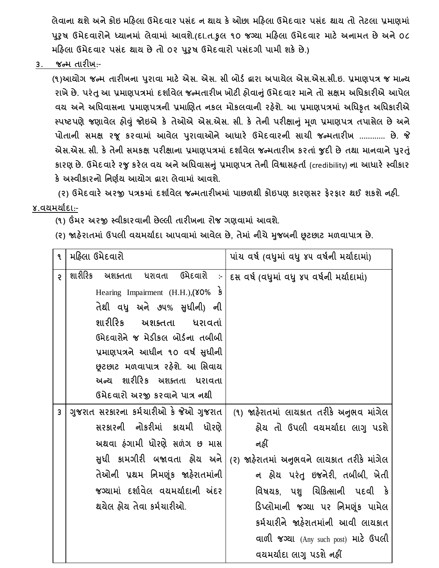**લેવાના થશે અને કોઇ મરહલા ઉમેદવાર પસાંદ ન થાય કે ઓછા મરહલા ઉમેદવાર પસાંદ થાય તો તેટલા પ્રમાણમાાં પરુુર્ ઉમેદવારોનેધ્યાનમાાં લેવામાાં આવશે.(દા.ત.કુલ ૧૦ જગ્યા મરહલા ઉમેદવાર માટે અનામત છે અને ૦૮ મરહલા ઉમેદવાર પસાંદ થાય છે તો ૦૨ પરુુર્ ઉમેદવારો પસાંદગી પામી શકે છે.)**

**૩. જન્મ તારીખ:-**

**(૧)આયોગ જન્મ તારીખના પરુાવા માટે એસ. એસ. સી બોર્ગ દ્વારા અપાયેલ એસ.એસ.સી.ઇ. પ્રમાણપત્ર જ માન્ય રાખેછે. પરાંતુઆ પ્રમાણપત્રમાાં દશાગવેલ જન્મતારીખ ખોટી હોવાનુાંઉમેદવાર માને તો સક્ષમ અવધકારીએ આપેલ વય અને અવધવાસના પ્રમાણપત્રની પ્રમાચણત નકલ મોકલવાની રહેશે. આ પ્રમાણપત્રમાાં અવધકૃત અવધકારીએ સ્પષ્ટપણેજણાવેલ હોવુાં જોઇએ કે તેઓએ એસ.એસ. સી. કે તેની પરીક્ષાનુાં મળૂ પ્રમાણપત્ર તપાસેલ છેઅને પોતાની સમક્ષ રજૂ કરવામાાં આવેલ પરુાવાઓનેઆધારે ઉમેદવારની સાચી જન્મતારીખ ............ છે. જે એસ.એસ. સી. કેતેની સમકક્ષ પરીક્ષાના પ્રમાણપત્રમાાં દશાગવેલ જન્મતારીખ કરતાાં જુદી છેતથા માનવાનેપરુતાંુ કારણ છે. ઉમેદવારેરજુકરેલ વય અનેઅવધવાસનુાં પ્રમાણપત્ર તેની વવશ્વાસહતાગ** (credibility) **ના આધારે સ્વીકાર કે અસ્વીકારનો વનણગય આયોગ દ્વારા લેવામાાં આવશે.**

**(૨) ઉમેદવારે અરજી પત્રકમાાં દશાગવેલ જન્મતારીખમાાં પાછળથી કોઇપણ કારણસર ફેરફાર થઈ શકશે નહી. ૪.વયમયાગદા:-**

**(૧) ઉંમર અરજી સ્વીકારવાની છેલ્લી તારીખના રોજ ગણવામાાં આવશે.**

**(૨) જાહેરાતમાાં ઉપલી વયમયાગદા આપવામાાં આવેલ છે, તેમાાં નીચેમુજબની છૂટછાટ મળવાપાત્ર છે.**

| ٩              | મહિલા ઉમેદવારો                                                                      | પાંચ વર્ષ (વધુમાં વધુ ૪૫ વર્ષની મર્યાદામાં) |
|----------------|-------------------------------------------------------------------------------------|---------------------------------------------|
| $\mathsf{S}$   | શારીરિક અશક્તતા ધરાવતા ઉમેદવારો<br>$\sim$ 1<br>Hearing Impairment $(H.H.), (80\%$ s | દસ વર્ષ (વધુમાં વધુ ૪૫ વર્ષની મર્યાદામાં)   |
|                | તેથી વધુ અને ૭૫% સુધીની) ની<br>શારીરિક અશક્તતા ધરાવતાં                              |                                             |
|                | ઉમેદવારોને જ મેડીકલ બોર્ડના તબીબી<br>પ્રમાણપત્રને આધીન ૧૦ વર્ષ સુધીની               |                                             |
|                | છૂટછાટ મળવાપાત્ર રહેશે. આ સિવાય                                                     |                                             |
|                | અન્ય શારીરિક અશક્તતા ધરાવતા<br>ઉમેદવારો અરજી કરવાને પાત્ર નથી                       |                                             |
| $\overline{3}$ | ગુજરાત સરકારના કર્મચારીઓ કે જેઓ ગુજરાત                                              | (૧) જાહેરાતમાં લાયકાત તરીકે અનુભવ માંગેલ    |
|                | સરકારની નોકરીમાં કાચમી ધોરણે                                                        | હ્રોય તો ઉપલી વયમર્યાદા લાગુ પડશે           |
|                | અથવા ફંગામી ધોરણે સળંગ છ માસ                                                        | નહીં                                        |
|                | સુધી કામગીરી બજાવતા હ્રોય અને                                                       | (૨) જાહેરાતમાં અનુભવને લાયકાત તરીકે માંગેલ  |
|                | તેઓની પ્રથમ નિમણૂંક જાહેરાતમાંની                                                    | ન હ્રોય પરંતુ ઇજનેરી, તબીબી, ખેતી           |
|                | જગ્યામાં દર્શાવેલ વયમર્યાદાની અંદર                                                  | વિષયક, પશુ ચિકિત્સાની પદવી કે               |
|                | થયેલ હોય તેવા કર્મચારીઓ.                                                            | ડિપ્લોમાની જગ્યા પર નિમણૂંક પામેલ           |
|                |                                                                                     | કર્મચારીને જાહેરાતમાંની આવી લાયકાત          |
|                |                                                                                     | વાળી જગ્યા (Any such post) માટે ઉપલી        |
|                |                                                                                     | વયમર્યાદા લાગુ પડશે નહીં                    |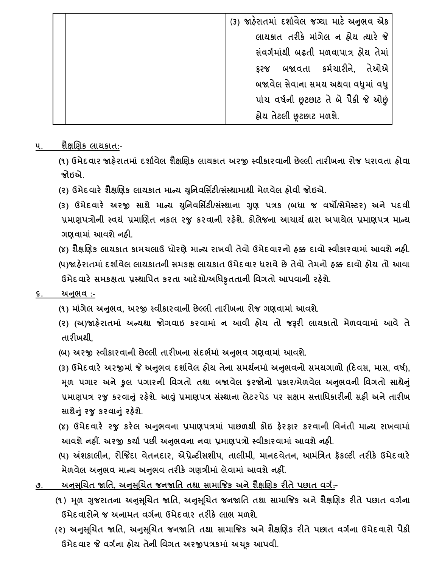| (3) જાહેરાતમાં દર્શાવેલ જગ્યા માટે અનુભવ એક |
|---------------------------------------------|
| લાયકાત તરીકે માંગેલ ન હોય ત્યારે જે         |
| સંવર્ગમાંથી બઢતી મળવાપાત્ર હોય તેમાં        |
| ફરજ બજાવતા કર્મચારીને, તેઓએ                 |
| બજાવેલ સેવાના સમય અથવા વધુમાં વધુ           |
| પાંચ વર્ષની છૂટછાટ તે બે પૈકી જે ઓછું       |
| હ્રોય તેટલી છૂટછાટ મળશે.                    |

#### **૫. શૈક્ષચણક લાયકાત:-**

**(૧) ઉમેદવાર જાહેરાતમાાં દશાગવેલ શૈક્ષચણક લાયકાત અરજી સ્વીકારવાની છેલ્લી તારીખના રોજ ધરાવતા હોવા જોઇએ.**

- **(૨) ઉમેદવારે શૈક્ષચણક લાયકાત માન્ય યવુનવવસિટી/સસ્ાં થામાથી મેળવેલ હોવી જોઇએ.**
- **(૩) ઉમેદવારે અરજી સાથે માન્ય યવુનવવસિટી/સસ્ાં થાના ગુણ પત્રક (બધા જ વર્ો/સેમેસ્ટર) અને પદવી પ્રમાણપત્રોની સ્વયાં પ્રમાચણત નકલ રજુ કરવાની રહેશે. કોલેજના આચાયગ દ્વારા અપાયેલ પ્રમાણપત્ર માન્ય ગણવામાાં આવશે નહી.**

**(૪) શૈક્ષચણક લાયકાત કામચલાઉ ધોરણેમાન્ય રાખવી તેવો ઉમેદવારનો હક્ક દાવો સ્વીકારવામાાં આવશે નહી. (૫)જાહેરાતમાાં દશાગવેલ લાયકાતની સમકક્ષ લાયકાત ઉમેદવાર ધરાવે છે તેવો તેમનો હક્ક દાવો હોય તો આવા ઉમેદવારે સમકક્ષતા પ્રસ્થાવપત કરતા આદેશો/અવધકૃતતાની વવગતો આપવાની રહેશે.**

#### **૬. અનભુ વ :-**

- **(૧) માાંગેલ અનભુ વ, અરજી સ્વીકારવાની છેલ્લી તારીખના રોજ ગણવામાાં આવશે.**
- **(૨) (અ)જાહેરાતમાાં અન્યથા જોગવાઇ કરવામાાં ન આવી હોય તો જરૂરી લાયકાતો મેળવવામાાં આવે તે તારીખથી,**
- **(બ) અરજી સ્વીકારવાની છેલ્લી તારીખના સદાં ભગમાાં અનભુ વ ગણવામાાં આવશે.**

(3) ઉમેદવારે અરજીમાં જે અનુભવ દર્શાવેલ હોય તેના સમર્થનમાં અનુભવનો સમયગાળો (દિવસ, માસ, વર્ષ), **મ ૂળ પગાર અનેકુલ પગારની વવગતો તથા બજાવેલ ફરજોનો પ્રકાર/મેળવેલ અનભુ વની વવગતો સાથેનુાં પ્રમાણપત્ર રજુ કરવાનુાં રહેશે. આવુાં પ્રમાણપત્ર સાંસ્થાના લેટરપેર્ પર સક્ષમ સત્તાવધકારીની સહી અને તારીખ સાથેનુાં રજુકરવાનુાં રહેશે.**

- **(૪) ઉમેદવારે રજુ કરેલ અનભુ વના પ્રમાણપત્રમાાં પાછળથી કોઇ ફેરફાર કરવાની વવનતાં ી માન્ય રાખવામાાં આવશેનહીં. અરજી કયાગ પછી અનભુ વના નવા પ્રમાણપત્રો સ્વીકારવામાાં આવશે નહી.**
- **(૫) અંશકાલીન, રોજજિંદા વેતનદાર, એપ્રેન્ટીસશીપ, તાલીમી, માનદવેતન, આમાંવત્રત ફૅકલ્ટી તરીકે ઉમેદવારે મેળવેલ અનભુ વ માન્ય અનભુ વ તરીકે ગણત્રીમાાં લેવામાાં આવશેનહીં.**
- **૭. અનસુ ચૂચત જાવત, અનસુ ચૂચત જનજાવત તથા સામાજજક અને શૈક્ષચણક રીતે પછાત વગગ:-**
	- **(૧) મળૂ ગુજરાતના અનસુ ચૂચત જાવત, અનસુ ચૂચત જનજાવત તથા સામાજજક અને શૈક્ષચણક રીતે પછાત વગગના ઉમેદવારોને જ અનામત વગગના ઉમેદવાર તરીકે લાભ મળશે.**
	- **(૨) અનસુ ચૂચત જાવત, અનસુ ચૂચત જનજાવત તથા સામાજજક અને શૈક્ષચણક રીતે પછાત વગગના ઉમેદવારો પૈકી ઉમેદવાર જે વગગના હોય તેની વવગત અરજીપત્રકમાાં અચ ૂક આપવી.**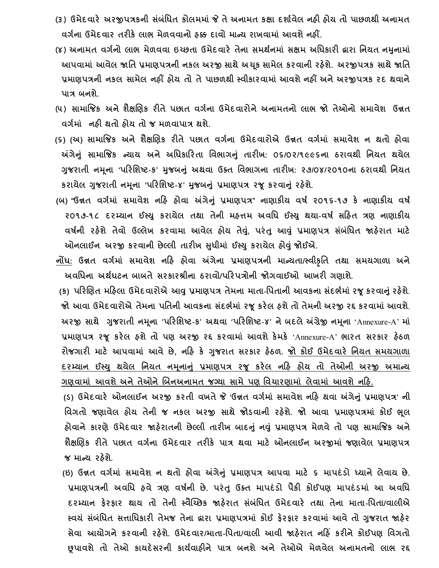- **(૩) ઉમેદવારે અરજીપત્રકની સાંબાંવધત કોલમમાાં જે તે અનામત કક્ષા દશાગવેલ નહી હોય તો પાછળથી અનામત વગગના ઉમેદવાર તરીકે લાભ મેળવવાનો હક્ક દાવો માન્ય રાખવામાાં આવશે નહીં.**
- **(૪) અનામત વગગનો લાભ મેળવવા ઇચ્છતા ઉમેદવારે તેના સમથગનમાાં સક્ષમ અવધકારી દ્વારા વનયત નમુનામાાં** આપવામાં આવેલ જાતિ પ્રમાણપત્રની નકલ અરજી સાથે અચૂક સામેલ કરવાની રહેશે. અરજીપત્રક સાથે જાતિ **પ્રમાણપત્રની નકલ સામેલ નહીં હોય તો તે પાછળથી સ્વીકારવામાાં આવશે નહીં અને અરજીપત્રક રદ થવાને પાત્ર બનશે.**
- **(૫) સામાજજક અને શૈક્ષચણક રીતે પછાત વગગના ઉમેદવારોને અનામતનો લાભ જો તેઓનો સમાવેશ ઉન્નત વગગમાાં" નહી થતો હોય તો જ મળવાપાત્ર થશે.**
- **(૬) (અ) સામાજજક અને શૈક્ષચણક રીતે પછાત વગગના ઉમેદવારોએ ઉન્નત વગગમાાં સમાવેશ ન થતો હોવા અંગેનુાં સામાજજક ન્યાય અને અવધકારરતા વવભાગનુાં તારીખ: ૦૬/૦૨/૧૯૯૬ના ઠરાવથી વનયત થયેલ ગુજરાતી નમનૂ ા 'પરરવશષ્ટ-ક' મુજબનુાં અથવા ઉક્ત વવભાગના તારીખ: ૨૭/૦૪/૨૦૧૦ના ઠરાવથી વનયત કરાયેલ ગુજરાતી નમ ૂના 'પરરવશષ્ટ-૪' મુજબનુાં પ્રમાણપત્ર રજૂકરવાનુાં રહેશે.**
- **(બ) "ઉન્નત વગગમાાં સમાવેશ નરહ હોવા અંગેનુાં પ્રમાણપત્ર" નાણાકીય વર્ગ ૨૦૧૬-૧૭ કે નાણાકીય વર્ગ ૨૦૧૭-૧૮ દરમ્યાન ઈસ્યુ કરાયેલ તથા તેની મહત્તમ અવવધ ઈસ્યુ થયા-વર્ગ સરહત ત્રણ નાણાકીય વર્ગની રહેશે તેવો ઉલ્લેખ કરવામા આવેલ હોય તેવ,ુાં પરાંતુઆવુાં પ્રમાણપત્ર સબાં ાંવધત જાહેરાત માટે ઓનલાઈન અરજી કરવાની છેલ્લી તારીખ સધુ ીમાાં ઈસ્યુકરાયેલ હોવુાં જોઈએ.**
- **નોંધ: ઉન્નત વગગમાાં સમાવેશ નરહ હોવા અંગેના પ્રમાણપત્રની માન્યતા/સ્વીકૃવત તથા સમયગાળા અને અવવધના અથગઘટન બાબતે સરકારશ્રીના ઠરાવો/પરરપત્રોની જોગવાઈઓ આખરી ગણાશે.**

**(ક) પરરચણત મરહલા ઉમેદવારોએ આવુપ્રમાણપત્ર તેમના માતા**-**વપતાની આવકના સાંદભગમાાં રજૂકરવાનુાંરહેશે**. **જો આવા ઉમેદવારોએ તેમના પવતની આવકના સાંદભગમાાં રજૂકરેલ હશેતો તેમની અરજી રદ્દ કરવામાાં આવશે**. **અરજી સાથે ગુજરાતી નમ ૂના** '**પરરવશષ્ટ**-**ક**' **અથવા** '**પરરવશષ્ટ**-**૪**' **નેબદલેઅંગ્રેજી નમ ૂના** 'Annexure-A' **માાં પ્રમાણપત્ર રજૂ કરેલ હશેતો પણ અરજી રદ્દ કરવામાાં આવશેકેમકે** 'Annexure-A' **ભારત સરકાર હેઠળ રોજગારી માટે આપવામાાં આવે છે, નરહ કે ગુજરાત સરકાર હેઠળ. જો કોઈ ઉમેદવારે વનયત સમયગાળા દરમ્યાન ઈસ્યુ થયેલ વનયત નમનૂ ાનુાં પ્રમાણપત્ર રજૂ કરેલ નરહ હોય તો તેઓની અરજી અમાન્ય** <u>ગણવામાં આવશે અને તેઓને બિનઅનામત જગ્યા સામે પણ વિચારણામાં લેવામાં આવશે નહિ.</u>

 **(ર્) ઉમેદવારે ઓનલાઈન અરજી કરતી વખતે જે 'ઉન્નત વગગમાાં સમાવેશ નરહ થવા અંગેનુાં પ્રમાણપત્ર' ની વવગતો જણાવેલ હોય તેની જ નકલ અરજી સાથે જોર્વાની રહેશે. જો આવા પ્રમાણપત્રમાાં કોઈ ભ ૂલ હોવાનેકારણે ઉમેદવાર જાહેરાતની છેલ્લી તારીખ બાદનુાં નવુાં પ્રમાણપત્ર મેળવેતો પણ સામાજજક અને શૈક્ષચણક રીતે પછાત વગગના ઉમેદવાર તરીકે પાત્ર થવા માટે ઓનલાઈન અરજીમાાં જણાવેલ પ્રમાણપત્ર જ માન્ય રહેશે.**

 **(ઇ) ઉન્નત વગગમાાં સમાવેશ ન થતો હોવા અંગેનુાં પ્રમાણપત્ર આપવા માટે ૬ માપદાં ર્ો ધ્યાને લેવાય છે. પ્રમાણપત્રની અવવધ હવે ત્રણ વર્નગ ી છે. પરાંતુ ઉક્ત માપદાંર્ો પૈકી કોઈપણ માપદાંર્માાં આ અવવધ દરમ્યાન ફેરફાર થાય તો તેની સ્વૈચ્ચ્છક જાહેરાત સાંબાંવધત ઉમેદવારે તથા તેના માતા-વપતા/વાલીએ સ્વયાં સબાં ાંવધત સત્તાવધકારી તેમજ તેના દ્વારા પ્રમાણપત્રમાાં કોઈ ફેરફાર કરવામાાં આવેતો ગુજરાત જાહેર સેવા આયોગને કરવાની રહેશે. ઉમેદવાર/માતા-વપતા/વાલી આવી જાહેરાત નરહિં કરીને કોઈપણ વવગતો છૂપાવશે તો તેઓ કાયદેસરની કાયગવાહીને પાત્ર બનશે અને તેઓએ મેળવેલ અનામતનો લાભ રદ્દ**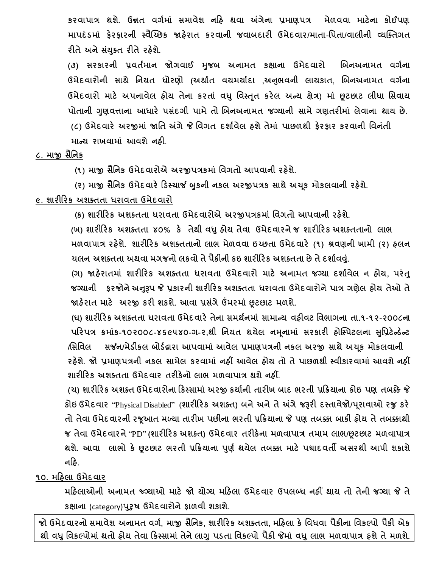**કરવાપાત્ર થશે. ઉન્નત વગગમાાં સમાવેશ નરહ થવા અંગેના પ્રમાણપત્ર મેળવવા માટેના કોઈપણ માપદાં ર્માાં ફેરફારની સ્વૈચ્ચ્છક જાહેરાત કરવાની જવાબદારી ઉમેદવાર/માતા-વપતા/વાલીની વ્યક્ક્તગત રીતેઅનેસયાં ક્ુત રીતેરહેશે.**

**(૭) સરકારની પ્રવતગમાન જોગવાઈ મુજબ અનામત કક્ષાના ઉમેદવારો ચબનઅનામત વગગના ઉમેદવારોની સાથે વનયત ધોરણો (અથાગત વયમયાગદા ,અનભુ વની લાયકાત, ચબનઅનામત વગગના ઉમેદવારો માટે અપનાવેલ હોય તેના કરતાાં વધુવવસ્ત ૃત કરેલ અન્ય ક્ષેત્ર) માાં છૂટછાટ લીધા વસવાય પોતાની ગુણવત્તાના આધારે પસાંદગી પામેતો ચબનઅનામત જગ્યાની સામેગણતરીમાાં લેવાના થાય છે. (૮) ઉમેદવારે અરજીમાાં જાવત અંગેજે વવગત દશાગવેલ હશેતેમાાં પાછળથી ફેરફાર કરવાની વવનાંતી**

**માન્ય રાખવામાાં આવશેનહી.**

### **૮. માજી સૈવનક**

 **(૧) માજી સૈવનક ઉમેદવારોએ અરજીપત્રકમાાં વવગતો આપવાની રહેશે.**

**(૨) માજી સૈવનક ઉમેદવારે રર્સ્ચાર્જ બુકની નકલ અરજીપત્રક સાથેઅચકૂ મોકલવાની રહેશે.**

## **૯. શારીરરક અશક્તતા ધરાવતા ઉમેદવારો**

 **(ક) શારીરરક અશક્તતા ધરાવતા ઉમેદવારોએ અરજીપત્રકમાાં વવગતો આપવાની રહેશે.**

**(ખ) શારીરરક અશક્તતા ૪૦% કે તેથી વધુહોય તેવા ઉમેદવારનેજ શારીરરક અશક્તતાનો લાભ મળવાપાત્ર રહેશે. શારીરરક અશક્તતાનો લાભ મેળવવા ઇચ્છતા ઉમેદવારે (૧) શ્રવણની ખામી (૨) હલન ચલન અશક્તતા અથવા મગજનો લકવો તેપૈકીની કઇ શારીરરક અશક્તતા છેતેદશાગવવ.ુાં**

**(ગ) જાહેરાતમાાં શારીરરક અશક્તતા ધરાવતા ઉમેદવારો માટે અનામત જગ્યા દશાગવેલ ન હોય, પરાંતુ જગ્યાની ફરજોનેઅનરૂુપ જે પ્રકારની શારીરરક અશક્તતા ધરાવતા ઉમેદવારોને પાત્ર ગણેલ હોય તેઓ તે જાહેરાત માટે અરજી કરી શકશે. આવા પ્રસાંગે ઉંમરમાાં છૂટછાટ મળશે.**

**(ઘ) શારીરરક અશક્તતા ધરાવતા ઉમેદવારે તેના સમથગનમાાં સામાન્ય વહીવટ વવભાગના તા.૧-૧૨-૨૦૦૮ના પરરપત્ર ક્રમાાંક-૧૦૨૦૦૮-૪૬૯૫૪૦-ગ-૨,થી વનયત થયેલ નમનૂ ામાાં સરકારી હોક્સ્પટલના સવુપ્રટેન્ર્ેન્ટ**

/સિવિલ સર્જન/મેડીકલ બોર્ડદ્રારા આપવામાં આવેલ પ્રમાણપત્રની નકલ અરજી સાથે અચુક મોકલવાની **રહેશે. જો પ્રમાણપત્રની નકલ સામેલ કરવામાાં નહીં આવેલ હોય તો તેપાછળથી સ્વીકારવામાાં આવશે નહીં શારીરરક અશક્તતા ઉમેદવાર તરીકેનો લાભ મળવાપાત્ર થશે નહીં.**

**(ચ) શારીરરક અશક્ત ઉમેદવારોના રકસ્સામાાં અરજી કયાગની તારીખ બાદ ભરતી પ્રરક્રયાના કોઇ પણ તબક્કે જે કોઇ ઉમેદવાર** "Physical Disabled" (**શારીરરક અશક્ત) બનેઅનેતેઅંગેજરૂરી દસ્તાવેજો/પરૂાવાઓ રજુકરે તો તેવા ઉમેદવારની રજૂઆત મળ્યા તારીખ પછીના ભરતી પ્રરક્રયાના જે પણ તબક્કા બાકી હોય તે તબક્કાથી જ તેવા ઉમેદવારને** "PD" **(શારીરરક અશક્ત) ઉમેદવાર તરીકેના મળવાપાત્ર તમામ લાભ/છૂટછાટ મળવાપાત્ર થશે. આવા લાભો કે છૂટછાટ ભરતી પ્રરક્રયાના પણુ ગ થયેલ તબક્કા માટે પશ્વાદવતી અસરથી આપી શકાશે નરહ.** 

## **૧૦. મરહલા ઉમેદવાર**

**મરહલાઓની અનામત જ્ગગ્યાઓ માટે જો યોગ્ય મરહલા ઉમેદવાર ઉપલબ્ધ નહીં થાય તો તેની જગ્યા જે તે કક્ષાના** (category)**પરુુર્ ઉમેદવારોનેફાળવી શકાશે.**

**જો ઉમેદવારનો સમાવેશ અનામત વગગ, માજી સૈવનક, શારીરરક અશક્તતા, મરહલા કે વવધવા પૈકીના વવકલ્પો પૈકી એક થી વધુવવકલ્પોમાાં થતો હોય તેવા રકસ્સામાાં તેનેલાગુપર્તા વવકલ્પો પૈકી જેમાાં વધુલાભ મળવાપાત્ર હશે તે મળશે.**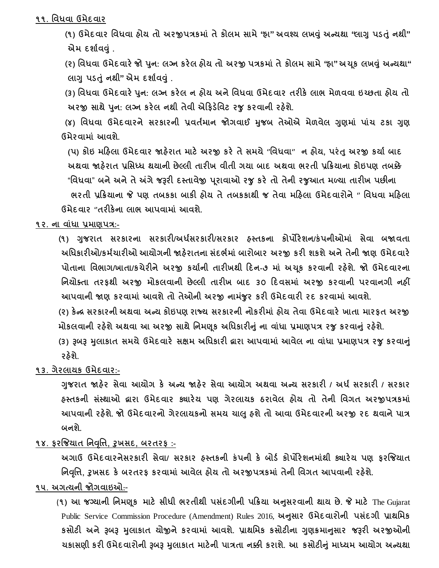#### **૧૧. વવધવા ઉમેદવાર**

 **(૧) ઉમેદવાર વવધવા હોય તો અરજીપત્રકમાાં તેકોલમ સામે"હા" અવશ્ય લખવુાં અન્યથા "લાગુપર્તાંુનથી" એમ દશાગવવુાં .**

**(૨) વવધવા ઉમેદવારેજો પનુ : લગ્ન કરેલ હોય તો અરજી પત્રકમાાં તેકોલમ સામે"હા" અચકૂ લખવુાં અન્યથા" લાગુપર્તાંુનથી" એમ દશાગવવુાં .**

**(૩) વવધવા ઉમેદવારેપનુ : લગ્ન કરેલ ન હોય અને વવધવા ઉમેદવાર તરીકે લાભ મેળવવા ઇચ્છતા હોય તો અરજી સાથેપનુ : લગ્ન કરેલ નથી તેવી એરફર્ેવવટ રજુકરવાની રહેશે.** 

**(૪) વવધવા ઉમેદવારને સરકારની પ્રવતમગ ાન જોગવાઈ મુજબ તેઓએ મેળવેલ ગુણમાાં પાાંચ ટકા ગુણ ઉમેરવામાાં આવશે.**

 **(પ) કોઇ મરહલા ઉમેદવાર જાહેરાત માટે અરજી કરે તે સમયે ''વવધવા'' ન હોય, પરાંતુઅરજી કયાગ બાદ અથવા જાહેરાત પ્રવસધ્ધ થયાની છેલ્લી તારીખ વીતી ગયા બાદ અથવા ભરતી પ્રરક્રયાના કોઇપણ તબક્કે** "**વવધવા**" **બને અને તે અંગે જરૂરી દસ્તાવેજી પરૂાવાઓ રજુકરે તો તેની રજુઆત મળ્યા તારીખ પછીના ભરતી પ્રરક્રયાના જે પણ તબકકા બાકી હોય તેતબકકાથી જ તેવા મરહલા ઉમેદવારોને'' વવધવા મરહલા ઉમેદવાર ''તરીકેના લાભ આપવામાાં આવશે.** 

**૧૨. ના વાાંધા પ્રમાણપત્ર:-**

**(૧) ગુજરાત સરકારના સરકારી/અધસગ રકારી/સરકાર હસ્તકના કોપોરેશન/કાં પનીઓમાાં સેવા બજાવતા અવધકારીઓ/કમગચારીઓ આયોગની જાહેરાતના સાંદભગમાાં બારોબાર અરજી કરી શકશે અને તેની જાણ ઉમેદવારે પોતાના વવભાગ/ખાતા/કચેરીને અરજી કયાગની તારીખથી રદન-૭ માાં અચ ૂક કરવાની રહેશે. જો ઉમેદવારના વનયોક્તા તરફથી અરજી મોકલવાની છેલ્લી તારીખ બાદ ૩૦ રદવસમાાં અરજી કરવાની પરવાનગી નહીં આપવાની જાણ કરવામાાં આવશેતો તેઓની અરજી નામજાં ુર કરી ઉમેદવારી રદ કરવામાાં આવશે.**

**(૨) કેન્ર સરકારની અથવા અન્ય કોઇપણ રાજ્ય સરકારની નોકરીમાાં હોય તેવા ઉમેદવારે ખાતા મારફત અરજી મોકલવાની રહેશે અથવા આ અરજી સાથેવનમણકૂ અવધકારીનુાં ના વાાંધા પ્રમાણપત્ર રજુકરવાનુાં રહેશે.**

**(૩) રૂબરૂ મુલાકાત સમયેઉમેદવારે સક્ષમ અવધકારી દ્વારા આપવામાાં આવેલ ના વાાંધા પ્રમાણપત્ર રજુકરવાનુાં રહેશે.**

#### **૧૩. ગેરલાયક ઉમેદવાર:-**

**ગુજરાત જાહેર સેવા આયોગ કે અન્ય જાહેર સેવા આયોગ અથવા અન્ય સરકારી / અધગ સરકારી / સરકાર હસ્તકની સાંસ્થાઓ દ્વારા ઉમેદવાર ક્યારેય પણ ગેરલાયક ઠરાવેલ હોય તો તેની વવગત અરજીપત્રકમાાં આપવાની રહેશે. જો ઉમેદવારનો ગેરલાયકનો સમય ચાલુહશેતો આવા ઉમેદવારની અરજી રદ થવાનેપાત્ર બનશે.**

## **૧૪. ફરજજયાત વનવ ૃવત્ત, રુખસદ, બરતરફ :-**

**અગાઉ ઉમેદવારનેસરકારી સેવા/ સરકાર હસ્તકની કાં પની કે બોર્ગ કોપોરેશનમાાંથી ક્યારેય પણ ફરજજયાત વનવ ૃવત્ત, રુખસદ કે બરતરફ કરવામાાં આવેલ હોય તો અરજીપત્રકમાાં તેની વવગત આપવાની રહેશે.**

## **૧૫. અગત્યની જોગવાઇઓ:-**

 (**૧) આ જગ્યાની વનમણ ૂક માટે સીધી ભરતીથી પસદાં ગીની પરક્રયા અનસુ રવાની થાય છે. જે માટે** The Gujarat Public Service Commission Procedure (Amendment) Rules 2016, **અનસુ ાર ઉમેદવારોની પસાંદગી પ્રાથવમક કસોટી અને રૂબરૂ મુલાકાત યોજીનેકરવામાાં આવશે. પ્રાથવમક કસોટીના ગુણક્રમાનસુ ાર જરૂરી અરજીઓની ચકાસણી કરી ઉમેદવારોની રૂબરૂ મુલાકાત માટેની પાત્રતા નક્કી કરાશે. આ કસોટીનુાં માધ્યમ આયોગ અન્યથા**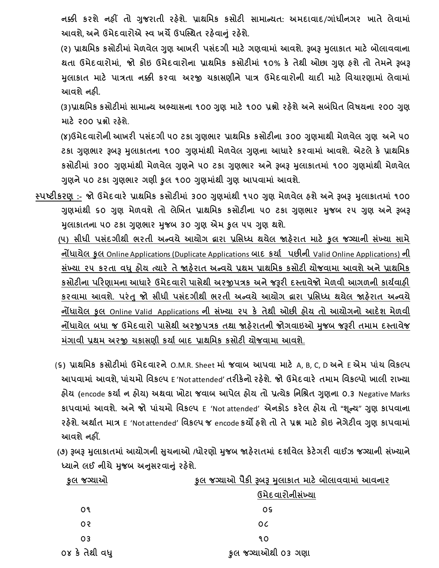**નક્કી કરશે નહીં તો ગુજરાતી રહેશે. પ્રાથવમક કસોટી સામાન્યત: અમદાવાદ**/**ગાાંધીનગર ખાતે લેવામાાં આવશે**, **અનેઉમેદવારોએ સ્વ ખચેઉપક્સ્થત રહેવાનુાં રહેશે.**

 **(૨) પ્રાથવમક કસોટીમાાં મેળવેલ ગુણ આખરી પસદાં ગી માટે ગણવામાાં આવશે. રૂબરૂ મુલાકાત માટે બોલાવવાના થતા ઉમેદવારોમાાં**, **જો કોઇ ઉમેદવારોના પ્રાથવમક કસોટીમાાં ૧૦% કે તેથી ઓછા ગુણ હશેતો તેમનેરૂબરૂ મુલાકાત માટે પાત્રતા નક્કી કરવા અરજી ચકાસણીને પાત્ર ઉમેદવારોની યાદી માટે વવચારણામાાં લેવામાાં આવશે નહી.**

 **(૩)પ્રાથવમક કસોટીમાાં સામાન્ય અભ્યાસના ૧૦૦ ગુણ માટે ૧૦૦ પ્રશ્નો રહેશે અને સબાંવધત વવર્યના ૨૦૦ ગુણ માટે ૨૦૦ પ્રશ્નો રહેશે.**

 **(૪)ઉમેદવારોની આખરી પસાંદગી ૫૦ ટકા ગુણભાર પ્રાથવમક કસોટીના ૩૦૦ ગુણમાથી મેળવેલ ગુણ અને ૫૦ ટકા ગુણભાર રૂબરૂ મુલાકાતના ૧૦૦ ગુણમાાંથી મેળવેલ ગુણના આધારે કરવામાાં આવશે. એટલેકે પ્રાથવમક કસોટીમાાં ૩૦૦ ગુણમાાંથી મેળવેલ ગુણને૫૦ ટકા ગુણભાર અનેરૂબરૂ મુલાકાતમાાં ૧૦૦ ગુણમાાંથી મેળવેલ ગુણને૫૦ ટકા ગુણભાર ગણી કુલ ૧૦૦ ગુણમાાંથી ગુણ આપવામાાં આવશે.**

**સ્પષ્ટીકરણ :- જો ઉમેદવારે પ્રાથવમક કસોટીમાાં ૩૦૦ ગુણમાાંથી ૧૫૦ ગુણ મેળવેલ હશેઅનેરૂબરૂ મુલાકાતમાાં ૧૦૦ ગુણમાાંથી ૬૦ ગુણ મેળવશેતો લેચખત પ્રાથવમક કસોટીના ૫૦ ટકા ગુણભાર મુજબ ૨૫ ગુણ અનેરૂબરૂ મુલાકાતના ૫૦ ટકા ગુણભાર મુજબ ૩૦ ગુણ એમ કુલ ૫૫ ગુણ થશે.**

 **(૫) સીધી પસાંદગીથી ભરતી અન્વયે આયોગ દ્વારા પ્રવસધ્ધ થયેલ જાહેરાત માટે કુલ જગ્યાની સાંખ્યા સામે નોંધાયેલ કુલ** Online Applications (Duplicate Applications **બાદ કયાગ પછીની** Valid Online Applications) **ની સાંખ્યા ૨૫ કરતા વધુહોય ત્યારે તેજાહેરાત અન્વયેપ્રથમ પ્રાથવમક કસોટી યોજવામા આવશેઅનેપ્રાથવમક કસોટીના પરરણામના આધારે ઉમેદવારો પાસેથી અરજીપત્રક અને જરૂરી દસ્તાવેજો મેળવી આગળની કાયગવાહી કરવામા આવશે. પરાંતુજો સીધી પસાંદગીથી ભરતી અન્વયે આયોગ દ્વારા પ્રવસધ્ધ થયેલ જાહેરાત અન્વયે નોંધાયેલ કુલ** Online Valid Applications **ની સાંખ્યા ૨૫ કે તેથી ઓછી હોય તો આયોગનો આદેશ મેળવી નોંધાયેલ બધા જ ઉમેદવારો પાસેથી અરજીપત્રક તથા જાહેરાતની જોગવાઇઓ મુજબ જરૂરી તમામ દસ્તાવેજ માંગાવી પ્રથમ અરજી ચકાસણી કયાગ બાદ પ્રાથવમક કસોટી યોજવામા આવશે**.

- (**૬) પ્રાથવમક કસોટીમાાં ઉમેદવારને** O.M.R. Sheet **માાં જવાબ આપવા માટે** A, B, C, D **અને** E **એમ પાાંચ વવકલ્પ આપવામાાં આવશે**, **પાાંચમો વવકલ્પ** E 'Not attended' **તરીકેનો રહેશે. જો ઉમેદવારે તમામ વવકલ્પો ખાલી રાખ્યા હોય (**encode **કયાગન હોય) અથવા ખોટા જવાબ આપેલ હોય તો પ્રત્યેક વનવશ્રત ગુણના ૦.૩** Negative Marks **કાપવામાાં આવશે. અને જો પાાંચમો વવકલ્પ** E 'Not attended' **એનકોર્ કરેલ હોય તો "શ ૂન્ય**" **ગુણ કાપવાના રહેશે. અથાગત માત્ર** E 'Not attended' **વવકલ્પ જ** encode **કયો હશેતો તેપ્રશ્ન માટે કોઇ નેગેટીવ ગુણ કાપવામાાં આવશે નહીં.**
- **(૭) રૂબરૂ મુલાકાતમાાં આયોગની સચુ નાઓ /ધોરણો મુજબ જાહેરાતમાાં દશાગવેલ કેટેગરી વાઈઝ જગ્યાની સાંખ્યાને ધ્યાનેલઈ નીચેમુજબ અનસુ રવાનુાં રહેશે.**

| કલ જગ્યાઓ      | <u>કુલ જગ્યાઓ પૈકી રૂબરૂ મુલાકાત માટે બોલાવ</u> વામાં આવનાર |  |
|----------------|-------------------------------------------------------------|--|
|                | ઉમેદવારોનીસંખ્યા                                            |  |
| ٥٩             | <b>OS</b>                                                   |  |
| 0 <sup>2</sup> | 0C                                                          |  |
| 03             | 90                                                          |  |
| ૦૪ કે તેથી વધુ | કુલ જગ્યાઓથી ૦૩ ગણા                                         |  |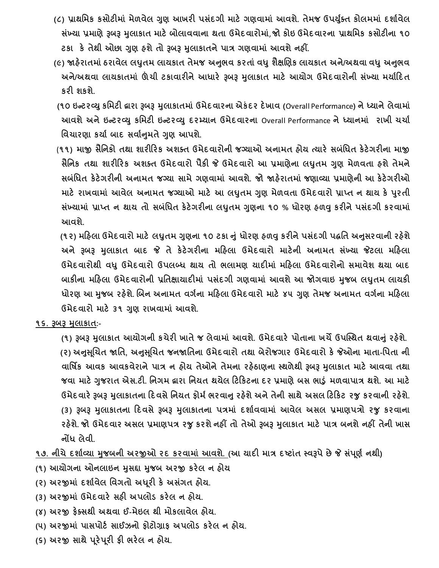- **(૮) પ્રાથવમક કસોટીમાાં મેળવેલ ગુણ આખરી પસદાં ગી માટે ગણવામાાં આવશે. તેમજ ઉપયક્ુગત કોલમમાાં દશાગવેલ સખ્ાં યા પ્રમાણેરૂબરૂ મુલાકાત માટેબોલાવવાના થતા ઉમેદવારોમાાં**, **જો કોઇ ઉમેદવારના પ્રાથવમક કસોટીના ૧૦ ટકા કે તેથી ઓછા ગુણ હશેતો રૂબરૂ મુલાકાતનેપાત્ર ગણવામાાં આવશેનહીં.**
- **(૯) જાહેરાતમાાંઠરાવેલ લઘુતમ લાયકાત તેમજ અનભુ વ કરતાાંવધુશૈક્ષચણક લાયકાત અને/અથવા વધુઅનભુ વ અને/અથવા લાયકાતમાાં ઊંચી ટકાવારીનેઆધારે રૂબરૂ મુલાકાત માટે આયોગ ઉમેદવારોની સખ્ાં યા મયાગરદત કરી શકશે.**
- **(૧૦ ઇન્ટરવ્યુકવમટી દ્વારા રૂબરૂ મુલાકાતમાાં ઉમેદવારના એકાંદર દેખાવ (**Overall Performance**) ને ધ્યાને લેવામાાં આવશેઅનેઇન્ટરવ્યુકવમટી ઇન્ટરવ્યુદરમ્યાન ઉમેદવારના** Overall Performance **ને ધ્યાનમાાં રાખી ચચાગ વવચારણા કયાગ બાદ સવાગનમુ તેગુણ આપશે.**
- (**૧૧) માજી સૈવનકો તથા શારીરરક અશક્ત ઉમેદવારોની જગ્યાઓ અનામત હોય ત્યારે સબાંવધત કેટેગરીના માજી સૈવનક તથા શારીરરક અશક્ત ઉમેદવારો પૈકી જે ઉમેદવારો આ પ્રમાણેના લઘુતમ ગુણ મેળવતા હશેતેમને સબાંવધત કેટેગરીની અનામત જગ્યા સામે ગણવામાાં આવશે. જો જાહેરાતમાાં જણાવ્યા પ્રમાણેની આ કેટેગરીઓ માટે રાખવામાાં આવેલ અનામત જગ્યાઓ માટે આ લઘુતમ ગુણ મેળવતા ઉમેદવારો પ્રાપ્ત ન થાય કે પરુતી સખ્ાં યામાાં પ્રાપ્ત ન થાય તો સબાંવધત કેટેગરીના લઘુતમ ગુણના ૧૦ % ધોરણ હળવુકરીનેપસદાં ગી કરવામાાં આવશે.**

 **(૧૨) મરહલા ઉમેદવારો માટે લઘુતમ ગુણના ૧૦ ટકા નુાં ધોરણ હળવુકરીનેપસદાં ગી પદ્ધવત અનસુ રવાની રહેશે અને રૂબરૂ મુલાકાત બાદ જે તે કેટેગરીના મરહલા ઉમેદવારો માટેની અનામત સાંખ્યા જેટલા મરહલા ઉમેદવારોથી વધુઉમેદવારો ઉપલબ્ધ થાય તો ભલામણ યાદીમાાં મરહલા ઉમેદવારોનો સમાવેશ થયા બાદ બાકીના મરહલા ઉમેદવારોની પ્રવતક્ષાયાદીમાાં પસદાં ગી ગણવામાાં આવશેઆ જોગવાઇ મુજબ લઘુતમ લાયકી ધોરણ આ મુજબ રહેશે. ચબન અનામત વગગના મરહલા ઉમેદવારો માટે ૪૫ ગુણ તેમજ અનામત વગગના મરહલા ઉમેદવારો માટે ૩૧ ગુણ રાખવામાાં આવશે.**

**૧૬. રૂબરૂ મુલાકાત:-**

 **(૧) રૂબરૂ મુલાકાત આયોગની કચેરી ખાતેજ લેવામાાં આવશે. ઉમેદવારે પોતાના ખચેઉપક્સ્થત થવાનુાં રહેશે. (૨) અનસુ ચૂચત જાવત, અનસુ ચૂચત જનજાવતના ઉમેદવારો તથા બેરોજગાર ઉમેદવારો કે જેઓના માતા-વપતા ની વાવર્િક આવક આવકવેરાનેપાત્ર ન હોય તેઓનેતેમના રહેઠાણના સ્થળેથી રૂબરૂ મુલાકાત માટેઆવવા તથા જવા માટેગુજરાત એસ.ટી. વનગમ દ્વારા વનયત થયેલ રટરકટના દર પ્રમાણેબસ ભાડુાં મળવાપાત્ર થશે. આ માટે ઉમેદવારેરૂબરૂ મુલાકાતના રદવસેવનયત ફોમગભરવાનુરહેશેઅનેતેની સાથેઅસલ રટરકટ રજુકરવાની રહેશે. (૩) રૂબરૂ મુલાકાતના રદવસેરૂબરૂ મુલાકાતના પત્રમાાં દશાગવવામાાં આવેલ અસલ પ્રમાણપત્રો રજુ કરવાના રહેશે. જો ઉમેદવાર અસલ પ્રમાણપત્ર રજુકરશેનહીં તો તેઓ રૂબરૂ મુલાકાત માટે પાત્ર બનશેનહીં તેની ખાસ નોંધ લેવી.**

- **૧૭. નીચેદશાગવ્યા મુજબની અરજીઓ રદ કરવામાાં આવશે. (આ યાદી માત્ર દષ્ટાાંત સ્વરૂપે છે જે સાંપ ૂણગ નથી)**
- **(૧) આયોગના ઓનલાઇન મુસદ્દા મુજબ અરજી કરેલ ન હોય**
- **(૨) અરજીમાાં દશાગવેલ વવગતો અધ ૂરી કે અસાંગત હોય.**
- **(૩) અરજીમાાં ઉમેદવારે સહી અપલોર્ કરેલ ન હોય.**
- **(૪) અરજી ફેક્સથી અથવા ઈ-મેઇલ થી મોકલાવેલ હોય.**
- **(૫) અરજીમાાં પાસપોટગ સાઈઝનો ફોટોગ્રાફ અપલોર્ કરેલ ન હોય.**
- **(૬) અરજી સાથે પ ૂરેપ ૂરી ફી ભરેલ ન હોય.**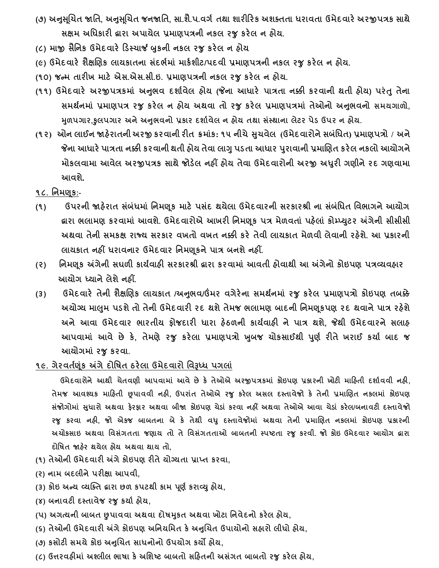- **(૭) અનસુ ચૂચત જાવત, અનસુ ચૂચત જનજાવત, સા.શૈ.પ.વગગ તથા શારીરરક અશક્તતા ધરાવતા ઉમેદવારે અરજીપત્રક સાથે સક્ષમ અવધકારી દ્વારા અપાયેલ પ્રમાણપત્રની નકલ રજુકરેલ ન હોય.**
- **(૮) માજી સૈવનક ઉમેદવારે રર્સ્ચાર્જ બુકની નકલ રજુકરેલ ન હોય**
- **(૯) ઉમેદવારે શૈક્ષચણક લાયકાતના સદાં ભગમાાં માકગશીટ/પદવી પ્રમાણપત્રની નકલ રજુકરેલ ન હોય.**
- **(૧૦) જન્મ તારીખ માટે એસ.એસ.સી.ઇ. પ્રમાણપત્રની નકલ રજુકરેલ ન હોય.**
- **(૧૧) ઉમેદવારે અરજીપત્રકમાાં અનભુ વ દશાગવેલ હોય (જેના આધારે પાત્રતા નક્કી કરવાની થતી હોય) પરાંતુતેના સમથનગ માાં પ્રમાણપત્ર રજુ કરેલ ન હોય અથવા તો રજુ કરેલ પ્રમાણપત્રમાાં તેઓનો અનભુ વનો સમયગાળો, મળુ પગાર,કુલપગાર અનેઅનુભવનો પ્રકાર દશાગવેલ ન હોય તથા સાંસ્થાના લેટર પેર્ ઉપર ન હોય.**
- (૧૨) ઓન લાઈન જાહેરાતની અરજી કરવાની રીત ક્રમાંક: ૧૫ નીચે સુચવેલ (ઉમેદવારોને સબંધિત) પ્રમાણપત્રો / અને **જેના આધારેપાત્રતા નક્કી કરવાની થતી હોય તેવા લાગુપર્તા આધાર પરુાવાની પ્રમાચણત કરેલ નકલો આયોગને મોકલવામા આવેલ અરજીપત્રક સાથેજોર્ેલ નહીં હોય તેવા ઉમેદવારોની અરજી અધરુી ગણીનેરદ ગણવામા આવશે.**
- **૧૮. વનમણ ૂક:-**
- **(૧) ઉપરની જાહેરાત સાંબાંધમાાં વનમણ ૂક માટે પસાંદ થયેલા ઉમેદવારની સરકારશ્રી ના સાંબાંવધત વવભાગને આયોગ દ્વારા ભલામણ કરવામાાં આવશે. ઉમેદવારોએ આખરી વનમણકૂ પત્ર મેળવતાાં પહેલાાં કોમ્પ્યટુર અંગેની સીસીસી અથવા તેની સમકક્ષ રાજ્ય સરકાર વખતો વખત નક્કી કરે તેવી લાયકાત મેળવી લેવાની રહેશે. આ પ્રકારની લાયકાત નહીં ધરાવનાર ઉમેદવાર વનમણ ૂકને પાત્ર બનશે નહીં.**
- **(૨) વનમણ ૂક અંગેની સઘળી કાયગવાહી સરકારશ્રી દ્વારા કરવામાાં આવતી હોવાથી આ અંગેનો કોઇપણ પત્રવ્યવહાર આયોગ ધ્યાને લેશે નહીં.**
- **(૩) ઉમેદવારે તેની શૈક્ષચણક લાયકાત /અનભુ વ/ઉંમર વગેરેના સમથનગ માાં રજુ કરેલ પ્રમાણપત્રો કોઇપણ તબક્કે અયોગ્ય માલમુ પર્શેતો તેની ઉમેદવારી રદ થશેતેમજ ભલામણ બાદની વનમણકૂપણ રદ થવાનેપાત્ર રહેશે અને આવા ઉમેદવાર ભારતીય ફોજદારી ધારા હેઠળની કાયગવાહી ને પાત્ર થશે, જેથી ઉમેદવારને સલાહ આપવામાાં આવે છે કે, તેમણે રજુ કરેલા પ્રમાણપત્રો ખબુ જ ચોકસાઈથી પણુ ગ રીતેખરાઈ કયાગ બાદ જ આયોગમાાં રજુકરવા.**
- <u>૧૯. ગેરવર્તણૂંક અંગે દોષિત ઠરેલા ઉમેદવારો વિરૂધ્ધ પગલાં</u>

 **ઉમેદવારોને આથી ચેતવણી આપવામાાં આવે છે કે તેઓએ અરજીપત્રકમાાં કોઇપણ પ્રકારની ખોટી મારહતી દશાગવવી નહી, તેમજ આવશ્યક મારહતી છૂપાવવી નહી, ઉપરાાંત તેઓએ રજુ કરેલ અસલ દસ્તાવેજો કે તેની પ્રમાચણત નકલમાાં કોઇપણ** સંજોગોમાં સુધારો અથવા ફેરફાર અથવા બીજા કોઇપણ ચેડાં કરવા નહીં અથવા તેઓએ આવા ચેડાં કરેલ/બનાવટી દસ્તાવેજો **રજુ કરવા નહી, જો એકજ બાબતના બે કે તેથી વધુ દસ્તાવેજોમાાં અથવા તેની પ્રમાચણત નકલમાાં કોઇપણ પ્રકારની અચોકસાઇ અથવા વવસાંગતતા જણાય તો તે વવસાંગતતાઓ બાબતની સ્પષ્ટતા રજુ કરવી. જો કોઇ ઉમેદવાર આયોગ દ્વારા દોવર્ત જાહેર થયેલ હોય અથવા થાય તો,**

- **(૧) તેઓની ઉમેદવારી અંગે કોઇપણ રીતે યોગ્યતા પ્રાપ્ત કરવા,**
- **(ર) નામ બદલીને પરીક્ષા આપવી,**
- **(૩) કોઇ અન્ય વ્યક્ક્ત દ્વારા છળ કપટથી કામ પણૂ ગકરાવ્યુહોય,**
- **(૪) બનાવટી દસ્તાવેજ રજુકયાગ હોય,**
- **(પ) અગત્યની બાબત છપાવવા અથવા દોર્મકુત અથવા ખોટા વનવેદનો કરેલ હોય,**
- **(૬) તેઓની ઉમેદવારી અંગે કોઇપણ અવનયવમત કેઅનુચચત ઉપાયોનો સહારો લીધો હોય,**
- **(૭) કસોટી સમયેકોઇ અનુચચત સાધનોનો ઉપયોગ કયો હોય,**
- **(૮) ઉત્તરવહીમાાં અશ્લીલ ભાર્ા કેઅવશષ્ટ બાબતો સરહતની અસાંગત બાબતો રજુકરેલ હોય,**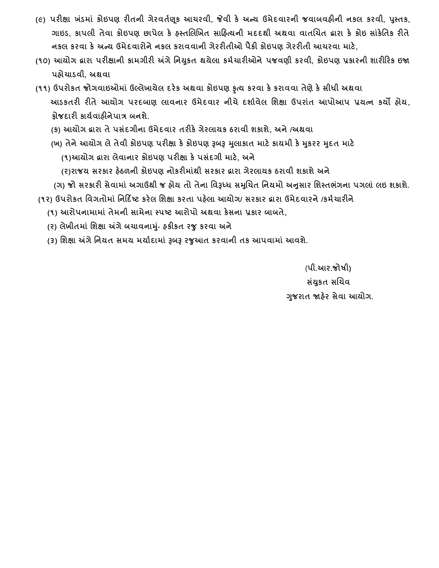- **(૯) પરીક્ષા ખાંર્માાં કોઇપણ રીતની ગેરવતગણ ૂક આચરવી, જેવી કે અન્ય ઉમેદવારની જવાબવહીની નકલ કરવી, પસ્ુતક, ગાઇર્, કાપલી તેવા કોઇપણ છાપેલ કે હસ્તચલચખત સારહત્યની મદદથી અથવા વાતચચત દ્વારા કે કોઇ સાાંકેવતક રીતે નકલ કરવા કે અન્ય ઉમેદવારોને નકલ કરાવવાની ગેરરીતીઓ પૈકી કોઇપણ ગેરરીતી આચરવા માટે,**
- **(૧૦) આયોગ દ્વારા પરીક્ષાની કામગીરી અંગેવનયકુત થયેલા કમગચારીઓનેપજવણી કરવી, કોઇપણ પ્રકારની શારીરરક ઇજા પહોચાર્વી, અથવા**
- **(૧૧) ઉપરોકત જોગવાઇઓમાાં ઉલ્લેખાયેલ દરેક અથવા કોઇપણ કૃત્ય કરવા કેકરાવવા તેણેકેસીધી અથવા આર્કતરી રીતે આયોગ પરદબાણ લાવનાર ઉમેદવાર નીચે દશાગવેલ વશક્ષા ઉપરાાંત આપોઆપ પ્રયત્ન કયો હોય, ફોજદારી કાયગવાહીનેપાત્ર બનશે.**
	- **(ક) આયોગ દ્વારા તે પસાંદગીના ઉમેદવાર તરીકે ગેરલાયક ઠરાવી શકાશે, અને /અથવા**
	- **(ખ) તેનેઆયોગ લેતેવી કોઇપણ પરીક્ષા કેકોઇપણ રૂબરૂ મલુ ાકાત માટેકાયમી કેમકુરર મદુત માટે (૧)આયોગ દ્વારા લેવાનાર કોઇપણ પરીક્ષા કે પસાંદગી માટે, અને**
		- **(ર)રાજય સરકાર હેઠળની કોઇપણ નોકરીમાાંથી સરકાર દ્વારા ગેરલાયક ઠરાવી શકાશે અને**
	- (ગ) જો સરકારી સેવામાં અગાઉથી જ હોય તો તેના વિરૂધ્ધ સમુચિત નિયમો અનુસાર શિસ્તભંગના પગલાં લઇ શકાશે.
- **(૧ર) ઉપરોકત વવગતોમાાં વનરદિષ્ટ કરેલ વશક્ષા કરતા પહેલા આયોગ/ સરકાર દ્વારા ઉમેદવારને /કમગચારીને**
	- **(૧) આરોપનામામાાં તેમની સામેના સ્પષ્ટ આરોપો અથવા કેસના પ્રકાર બાબતે,**
	- **(ર) લેખીતમાાં વશક્ષા અંગેબચાવનામ-ુાં હકીકત રજુકરવા અને**
	- **(૩) વશક્ષા અંગેવનયત સમય મયાગદામાાં રૂબરૂ રજુઆત કરવાની તક આપવામાાં આવશે.**

(**પી.આર.જોર્ી) સાંયકુત સચચવ ગજુ રાત જાહેર સેવા આયોગ.**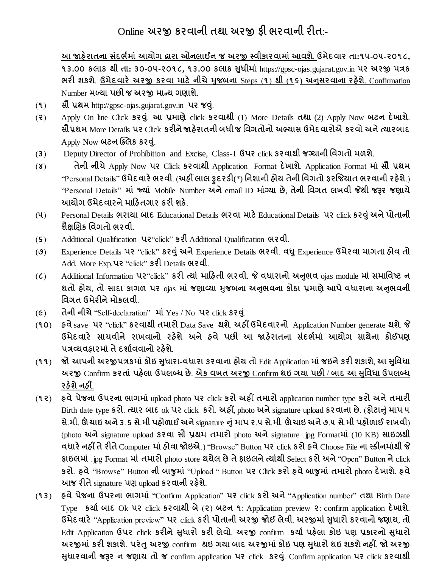# Online **અરજી કરવાની તથા અરજી ફી ભરવાની રીત**:-

**આ જાહેરાતના સાંદભગમાાં આયોગ દ્વારા ઓનલાઈન જ અરજી સ્વીકારવામાાંઆવશે**. **ઉમેદવાર તા:૧૫-૦૫-૨૦૧૮,** 13.00 sclls el dl: 30-04-2016, 13.00 sclls Htll [https://gpsc-ojas.gujarat.gov.in](https://gpsc-ojas.gujarat.gov.in/) 42 228 478 **ભરી શકશે**. **ઉમેદવારે અરજી કરવા માટે નીચેમુજબના** Steps (**૧**) **થી** (**૧૬**) **અનસુ રવાના રહેશે**. Confirmation Number **મળ્યા પછી જ અરજી માન્ય ગણાશે**.

- (**૧**) **સૌ પ્રથમ** http://gpsc-ojas.gujarat.gov.in **પર જવ**.**ુાં**
- (**૨**) Apply On line Click **કરવ**. **ુાં આ પ્રમાણે**click **કરવાથી** (1) More Details **તથા** (2) Apply Now **બટન દેખાશે**. **સૌપ્રથમ** More Details **પર** Click **કરીનેજાહેરાતની બધી જ વવગતોનો અભ્યાસ ઉમેદવારોએ કરવો અનેત્યારબાદ** Apply Now **બટન ચ્ક્લક કરવ**.**ુાં**
- (**૩**) Deputy Director of Prohibition and Excise, Class-I **ઉપર** click **કરવાથી જગ્યાની વવગતો મળશે**.
- (**૪**) **તેની નીચે**Apply Now **પર** Click **કરવાથી** Application Format **દેખાશે**. Application Format **માાં સૌ પ્રથમ** "Personal Details" **ઉમેદવારેભરવી**. (**અહીં લાલ ફુદરર્ી**(\*) **વનશાની હોય તેની વવગતો ફરજજયાત ભરવાની રહેશે**.) "Personal Details" **માાં જ્યાાં** Mobile Number **અને**email ID **માાંગ્યા છે**, **તેની વવગત લખવી જેથી જરૂર જણાયે આયોગ ઉમેદવારનેમારહતગાર કરી શકે**.
- (**૫**) Personal Details **ભરાયા બાદ** Educational Details **ભરવા માટે**Educational Details **પર** click **કરવુાંઅનેપોતાની શૈક્ષચણક વવગતો ભરવી**.
- (**૬**) Additional Qualification **પર**"click" **કરી** Additional Qualification **ભરવી**.
- (**૭**) Experience Details **પર** "click" **કરવુાંઅને**Experience Details **ભરવી**. **વધુ**Experience **ઉમેરવા માગતા હોવ તો** Add. More Exp.**પર** "click" **કરી** Details **ભરવી**.
- (**૮**) Additional Information **પર**"click" **કરી ત્યાાં મારહતી ભરવી**. **જે વધારાનો અનભુ વ** ojas module **માાં સમાવવષ્ટ ન થતો હોય**, **તો સાદા કાગળ પર** ojas **માાં જણાવ્યા મુજબના અનભુ વના કોઠા પ્રમાણેઆપેવધારાના અનભુ વની વવગત ઉમેરીનેમોકલવી**.
- (**૯**) **તેની નીચે**"Self-declaration" **માાં**Yes / No **પર** click **કરવ**.**ુાં**
- (**૧૦**) **હવે**save **પર** "click" **કરવાથી તમારો** Data Save **થશે**. **અહીં ઉમેદવારનો** Application Number generate **થશે**. **જે ઉમેદવારે સાચવીને રાખવાનો રહેશે અને હવે પછી આ જાહેરાતના સાંદભગમાાં આયોગ સાથેના કોઈપણ પત્રવ્યવહારમાાંતેદશાગવવાનો રહેશે**.
- (**૧૧**) **જો આપની અરજીપત્રકમાાંકોઇ સધુ ારા**-**વધારા કરવાના હોય તો** Edit Application **માાંજઇનેકરી શકાશે**, **આ સવુવધા અરજી** Confirm **કરતાાં પહેલા ઉપલબ્ધ છે**. **એક વખત અરજી** Confirm **થઇ ગયા પછી** / **બાદ આ સવુવધા ઉપલબ્ધ રહેશેનહીં**.
- (**૧૨**) **હવેપેજના ઉપરના ભાગમાાં** upload photo **પર** click **કરો અહીં તમારો** application number type **કરો અનેતમારી** Birth date type **કરો**. **ત્યાર બાદ** ok **પર** click **કરો**. **અહીં**, photo **અને**signature upload **કરવાના છે**. (**ફોટાનુાંમાપ ૫** સે.મી. ઊંચાઇ અને 3.5 સે.મી પહોળાઈ અને signature નું માપ ૨.૫ સે.મી. ઊંચાઇ અને ૭.૫ સે.મી પહોળાઈ રાખવી) (photo **અને**signature upload **કરવા સૌ પ્રથમ તમારો** photo **અને**signature .jpg Format**માાં** (10 KB) **સાઇઝથી વધારેનહીં તેરીતે**Computer **માાંહોવા જોઇએ**.) "Browse" Button **પર** click **કરો હવે**Choose File **ના સ્ક્રીનમાાંથી જે ફાઇલમાાં** .jpg Format **માાં તમારો** photo store **થયેલ છેતેફાઇલનેત્યાાંથી** Select **કરો અને**"Open" Button **ને**click **કરો**. **હવે**"Browse" Button **ની બાજુમાાં** "Upload " Button **પર** Click **કરો હવેબાજુમાાં તમારો** photo **દેખાશે**. **હવે આજ રીતે**signature **પણ** upload **કરવાની રહેશે**.
- (**૧૩**) **હવેપેજના ઉપરના ભાગમાાં** "Confirm Application" **પર** click **કરો અને**"Application number" **તથા** Birth Date Type **કયાગ બાદ** Ok **પર** click **કરવાથી બે**(**૨**) **બટન ૧**: Application preview **૨**: confirm application **દેખાશે**. **ઉમેદવારે**"Application preview" **પર** click **કરી પોતાની અરજી જોઈ લેવી**. **અરજીમાાંસધુ ારો કરવાનો જણાય**, **તો** Edit Application **ઉપર** click **કરીનેસધુ ારો કરી લેવો**. **અરજી** confirm **કયાગ પહેલા કોઇ પણ પ્રકારનો સધુ ારો અરજીમાાં કરી શકાશે**. **પરાંતુઅરજી** confirm **થઇ ગયા બાદ અરજીમાાંકોઇ પણ સધુ ારો થઇ શકશેનહીં**. **જો અરજી સધુ ારવાની જરૂર ન જણાય તો જ** confirm application **પર** click **કરવ**. **ુાં** Confirm application **પર** click **કરવાથી**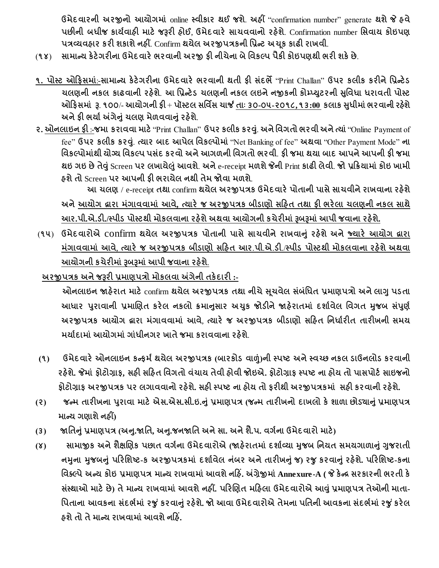**ઉમેદવારની અરજીનો આયોગમાાં** online **સ્વીકાર થઈ જશે**. **અહીં** "confirmation number" generate **થશેજે હવે પછીની બધીજ કાયગવાહી માટે જરૂરી હોઈ**, **ઉમેદવારે સાચવવાનો રહેશે**. Confirmation number **વસવાય કોઇપણ પત્રવ્યવહાર કરી શકાશેનહીં**. Confirm **થયેલ અરજીપત્રકની વપ્રન્ટ અચ ૂક કાઢી રાખવી**.

- (**૧૪**) **સામાન્ય કેટેગરીના ઉમેદવારેભરવાની અરજી ફી નીચેના બેવવકલ્પ પૈકી કોઇપણથી ભરી શકેછે**.
- **૧. પોસ્ટ ઓરફસમાાં**:-**સામાન્ય કેટેગરીના ઉમેદવારે ભરવાની થતી ફી સાંદભે**"Print Challan" **ઉપર કલીક કરીનેવપ્રન્ટેર્ ચલણની નકલ કાઢવાની રહેશે**. **આ વપ્રન્ટેર્ ચલણની નકલ લઇનેનજીકની કોમ્પ્યટુરની સવુવધા ધરાવતી પોસ્ટ** ઓફિસમાં રૂ. ૧૦૦/- આયોગની ફી + પૉસ્ટલ સર્વિસ ચાર્જ <u>તાઃ ૩૦-૦૫-૨૦૧૮,૧૩:00</u> કલાક સુધીમાં ભરવાની રહેશે **અનેફી ભયાગઅંગેનુાંચલણ મેળવવાનુાંરહેશે**.
- **૨. ઓનલાઇન ફી** :-**જમા કરાવવા માટે**"Print Challan" **ઉપર કલીક કરવ**. **ુાં અનેવવગતો ભરવી અનેત્યાાં**"Online Payment of fee" **ઉપર કલીક કરવ**. **ુાં ત્યાર બાદ આપેલ વવકલ્પોમાાં** "Net Banking of fee" **અથવા** "Other Payment Mode" **ના વવકલ્પોમાાંથી યોગ્ય વવકલ્પ પસાંદ કરવો અનેઆગળની વવગતો ભરવી**. **ફી જમા થયા બાદ આપનેઆપની ફી જમા થઇ ગઇ છેતેવુાં**Screen **પર લખાયેલાંુઆવશે**. **અને**e-receipt **મળશેજેની** Print **કાઢી લેવી**. **જો પ્રરક્રયામાાંકોઇ ખામી હશેતો** Screen **પર આપની ફી ભરાયેલ નથી તેમ જોવા મળશે**.

**આ ચલણ** / e-receipt **તથા** confirm **થયેલ અરજીપત્રક ઉમેદવારેપોતાની પાસેસાચવીનેરાખવાના રહેશે અનેઆયોગ દ્વારા માંગાવવામાાં આવે, ત્યારે જ અરજીપત્રક બીર્ાણો સરહત તથા ફી ભરેલા ચલણની નકલ સાથે આર.પી.એ.ર્ી./સ્પીર્ પોસ્ટથી મોકલવાના રહેશેઅથવા આયોગની કચેરીમાાં રૂબરૂમાાંઆપી જવાના રહેશે.**

(**૧૫**) **ઉમેદવારોએ** confirm **થયેલ અરજીપત્રક પોતાની પાસેસાચવીનેરાખવાનુાં રહેશેઅનેજ્યારે આયોગ દ્વારા માંગાવવામાાં આવે**, **ત્યારે જ અરજીપત્રક બીર્ાણો સરહત આર**.**પી**.**એ**.**ર્ી**./**સ્પીર્ પોસ્ટથી મોકલવાના રહેશેઅથવા આયોગની કચેરીમાાં રૂબરૂમાાંઆપી જવાના રહેશે**.

 **અરજીપત્રક અનેજરૂરી પ્રમાણપત્રો મોકલવા અંગેની તકેદારી :-**

 **ઓનલાઇન જાહેરાત માટે**confirm **થયેલ અરજીપત્રક તથા નીચેસ ૂચવેલ સાંબાંવધત પ્રમાણપત્રો અનેલાગુપર્તા આધાર પરુાવાની પ્રમાચણત કરેલ નકલો ક્રમાનસુ ાર અચકુ જોર્ીનેજાહેરાતમાાં દશાગવેલ વવગત મુજબ સપાં ણુ ગ અરજીપત્રક આયોગ દ્વારા માંગાવવામાાં આવે**, **ત્યારે જ અરજીપત્રક બીર્ાણો સરહત વનધાગરીત તારીખની સમય મયાગદામાાંઆયોગમાાં ગાાંધીનગર ખાતેજમા કરાવવાના રહેશે**.

- **(૧) ઉમેદવારેઓનલાઇન કન્ફમગથયેલ અરજીપત્રક (બારકોર્ વાળાં)ની સ્પષ્ટ અનેસ્વચ્છ નકલ ર્ાઉનલોર્ કરવાની** રફેશે. જેમાં ફોટોગ્રાફ, સફી સફિત વિગતો વંચાય તેવી ફોવી જોઇએ. ફોટોગ્રાફ સ્પષ્ટ ના ફોય તો પાસપોર્ટ સાઇજનો **ફોટોગ્રાફ અરજીપત્રક પર લગાવવાનો રહેશે. સહી સ્પષ્ટ ના હોય તો ફરીથી અરજીપત્રકમાાં સહી કરવાની રહેશે.**
- (૨) જન્મ તારીખના પુરાવા માટે એસ.એસ.સી.ઇ.નું પ્રમાણપત્ર (જન્મ તારીખનો દાખલો કે શાળા છોડ્યાનું પ્રમાણપત્ર **માન્ય ગણાશેનહીં)**
- (3) જાતિનું પ્રમાણપત્ર (અનુ.જાતિ, અનુ.જનજાતિ અને સા. અને શૈ.પ. વર્ગના ઉમેદવારો માટે)
- **(૪) સામાજીક અનેશૈક્ષચણક પછાત વગગના ઉમેદવારોએ (જાહેરાતમાાં દશાગવ્યા મુજબ વનયત સમયગાળાનુાં ગુજરાતી નમુના મુજબનુાં પરરવશષ્ટ-ક અરજીપત્રકમાાં દશાગવેલ નાંબર અનેતારીખનુાંજ) રજુકરવાનુાંરહેશે. પરરવશષ્ટ-કના વવક્લ્પેઅન્ય કોઇ પ્રમાણપત્ર માન્ય રાખવામાાંઆવશેનરહિં. અંગ્રેજીમાાંAnnexure-A ( જે કેન્ર સરકારની ભરતી કે સાંસ્થાઓ માટેછે) તેમાન્ય રાખવામાાં આવશેનહીં. પરરચણત મરહલા ઉમેદવારોએ આવુાંપ્રમાણપત્ર તેઓની માતા- વપતાના આવકના સાંદભગમાાં રજુાંકરવાનુાંરહેશે. જો આવા ઉમેદવારોએ તેમના પવતની આવકના સાંદભગમાાંરજુાંકરેલ હશેતો તેમાન્ય રાખવામાાંઆવશેનરહિં.**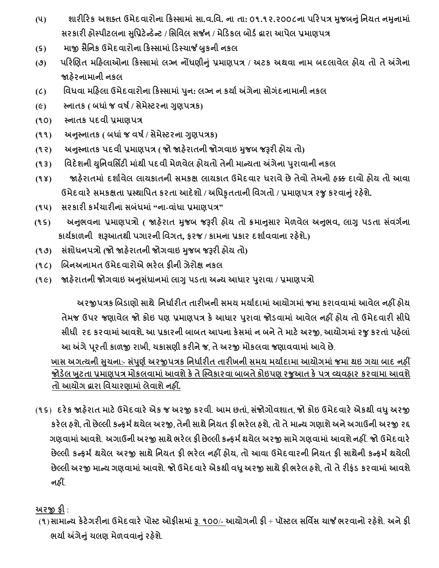- (૫) શારીરિક અશક્ત ઉમેદવારોના કિસ્સામાં સા.વ.વિ. ના તા: ૦૧.૧૨.૨૦૦૮ના પરિપત્ર મુજબનું નિયત નમુનામાં **સરકારી હોસ્પીટલના સવુપ્રટેન્ર્ેન્ટ / વસવવલ સર્જન / મેરર્કલ બોર્ગદ્વારા આપેલ પ્રમાણપત્ર**
- **(૬) માજી સૈવનક ઉમેદવારોના રકસ્સામાાં રર્સ્ચાર્જ બુકની નકલ**
- **(૭) પરરચણત મરહલાઓના રકસ્સામાાં લગ્ન નોંધણીનુાં પ્રમાણપત્ર / અટક અથવા નામ બદલાવેલ હોય તો તેઅંગેના જાહેરનામાની નકલ**
- **(૮) વવધવા મરહલા ઉમેદવારોના રકસ્સામાાંપનુ : લગ્ન ન કયાગઅંગેના સોગાંદનામાની નકલ**
- **(૯) સ્નાતક ( બધાાંજ વર્ગ/ સેમેસ્ટરના ગુણપત્રક)**
- **(૧૦) સ્નાતક પદવી પ્રમાણપત્ર**
- **(૧૧) અનસ્ુનાતક ( બધાાંજ વર્ગ/ સેમેસ્ટરના ગુણપત્રક)**
- **(૧૨) અનસ્ુનાતક પદવી પ્રમાણપત્ર ( જો જાહેરાતની જોગવાઇ મુજબ જરૂરી હોય તો)**
- **(૧૩) વવદેશની યવુનવવસિટી માાંથી પદવી મેળવેલ હોયતો તેની માન્યતા અંગેના પરુાવાની નકલ**
- **(૧૪) જાહેરાતમાાં દશાગવેલ લાયકાતની સમકક્ષ લાયકાત ઉમેદવાર ધરાવેછેતેવો તેમનો હક્ક દાવો હોય તો આવા ઉમેદવારેસમકક્ષતા પ્રસ્થાવપત કરતા આદેશો / અવધકૃતતાની વવગતો / પ્રમાણપત્ર રજુકરવાનુાંરહેશે.**
- **(૧૫) સરકારી કમગચારીના સબાંધમાાં "ના-વાાંધા પ્રમાણપત્ર"**
- (૧૬) માનભવના પ્રમાણપત્રો ( જાહેરાત મુજબ જરૂરી હોય તો ક્રમાનસાર મેળવેલ અનુભવ, લાગુ પડતા સંવર્ગના **કાયગકાળની શરૂઆતથી પગારની વવગત, ફરજ / કામના પ્રકાર દશાગવવાના રહેશે.)**
- **(૧૭) સાંશોધનપત્રો (જો જાહેરાતની જોગવાઇ મુજબ જરૂરી હોય તો)**
- **(૧૮) ચબનઅનામત ઉમેદવારોએ ભરેલ ફીની ઝેરોક્ષ નકલ**
- **(૧૯) જાહેરાતની જોગવાઇ અનસુ ધાં ાનમાાં લાગુપર્તા અન્ય આધાર પરુાવા / પ્રમાણપત્રો**

 **અરજીપત્રક ચબર્ાણો સાથે વનધાગરીત તારીખની સમય મયાગદામાાંઆયોગમાાંજમા કરાવવામાાંઆવેલ નહીં હોય તેમજ ઉપર જણાવેલ જો કોઇ પણ પ્રમાણપત્ર કેઆધાર પરુાવા જોર્વામાાં આવેલ નહીં હોય તો ઉમેદવારી સીધે સીધી રદ કરવામાાંઆવશે. આ પ્રકારની બાબત આપના કેસમાાંન બનેતેમાટેઅરજી**, **આયોગમાાંરજુકરતાાંપહેલાાં આ અંગેપ ૂરતી કાળજી રાખી**, **ચકાસણી કરીનેજ**, **તેઅરજી મોકલવા જણાવવામાાંઆવેછે**.

 **ખાસ અગત્યની સચુ ના**:- **સપાં ણુ ગઅરજીપત્રક વનધાગરીત તારીખની સમય મયાગદામા આયોગમાાંજમા થઇ ગયા બાદ નહીં જોર્ેલ ખટુતા પ્રમાણપત્ર મોકલવામાાંઆવશેકેતેક્સ્વકારવા બાબતેકોઇપણ રજુઆત કેપત્ર વ્યવહાર કરવામા આવશે તો આયોગ દ્વારા વવચારણામાાં લેવાશેનહીં.**

(**૧૬**) **દરેક જાહેરાત માટેઉમેદવારેએક જ અરજી કરવી**. **આમ છતાાં**, **સાંજોગોવશાત**, **જો કોઇ ઉમેદવારેએકથી વધુઅરજી કરેલ હશે**, **તો છેલ્લી કન્ફમગથયેલ અરજી**, **તેની સાથેવનયત ફી ભરેલ હશે**, **તો તેમાન્ય ગણાશેઅનેઅગાઉની અરજી રદ્દ ગણવામાાંઆવશે**. **અગાઉની અરજી સાથેભરેલ ફી છેલ્લી કન્ફમગથયેલ અરજી સામેગણવામાાંઆવશેનહીં**. **જો ઉમેદવારે છેલ્લી કન્ફમગથયેલ અરજી સાથેવનયત ફી ભરેલ નહીં હોય**, **તો આવા ઉમેદવારની વનયત ફી સાથેની કન્ફમગથયેલી છેલ્લી અરજી માન્ય ગણવામાાંઆવશે**. **જો ઉમેદવારેએકથી વધુઅરજી સાથેફી ભરેલ હશે**, **તો તેરીફાંર્ કરવામાાંઆવશે નહીં**.

## **અરજી ફી** :

(**૧**)**સામાન્ય કેટેગરીના ઉમેદવારેપોસ્ટ ઓફીસમાાં રૂ**. **૧૦૦**/- **આયોગની ફી** + **પૉસ્ટલ સવવિસ ચાર્જ ભરવાનો રહેશે**. **અનેફી ભયાગઅંગેનુાંચલણ મેળવવાનુાંરહેશે**.